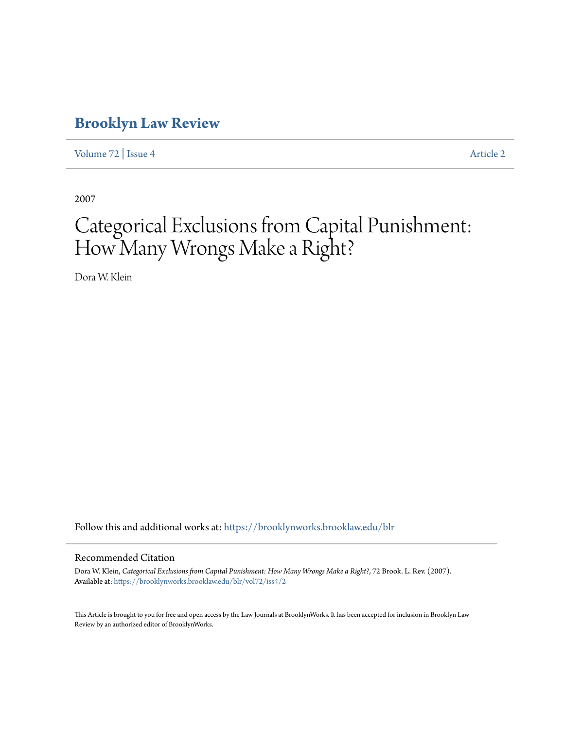### **[Brooklyn Law Review](https://brooklynworks.brooklaw.edu/blr?utm_source=brooklynworks.brooklaw.edu%2Fblr%2Fvol72%2Fiss4%2F2&utm_medium=PDF&utm_campaign=PDFCoverPages)**

[Volume 72](https://brooklynworks.brooklaw.edu/blr/vol72?utm_source=brooklynworks.brooklaw.edu%2Fblr%2Fvol72%2Fiss4%2F2&utm_medium=PDF&utm_campaign=PDFCoverPages) | [Issue 4](https://brooklynworks.brooklaw.edu/blr/vol72/iss4?utm_source=brooklynworks.brooklaw.edu%2Fblr%2Fvol72%2Fiss4%2F2&utm_medium=PDF&utm_campaign=PDFCoverPages) [Article 2](https://brooklynworks.brooklaw.edu/blr/vol72/iss4/2?utm_source=brooklynworks.brooklaw.edu%2Fblr%2Fvol72%2Fiss4%2F2&utm_medium=PDF&utm_campaign=PDFCoverPages)

2007

# Categorical Exclusions from Capital Punishment: How Many Wrongs Make a Right?

Dora W. Klein

Follow this and additional works at: [https://brooklynworks.brooklaw.edu/blr](https://brooklynworks.brooklaw.edu/blr?utm_source=brooklynworks.brooklaw.edu%2Fblr%2Fvol72%2Fiss4%2F2&utm_medium=PDF&utm_campaign=PDFCoverPages)

#### Recommended Citation

Dora W. Klein, *Categorical Exclusions from Capital Punishment: How Many Wrongs Make a Right?*, 72 Brook. L. Rev. (2007). Available at: [https://brooklynworks.brooklaw.edu/blr/vol72/iss4/2](https://brooklynworks.brooklaw.edu/blr/vol72/iss4/2?utm_source=brooklynworks.brooklaw.edu%2Fblr%2Fvol72%2Fiss4%2F2&utm_medium=PDF&utm_campaign=PDFCoverPages)

This Article is brought to you for free and open access by the Law Journals at BrooklynWorks. It has been accepted for inclusion in Brooklyn Law Review by an authorized editor of BrooklynWorks.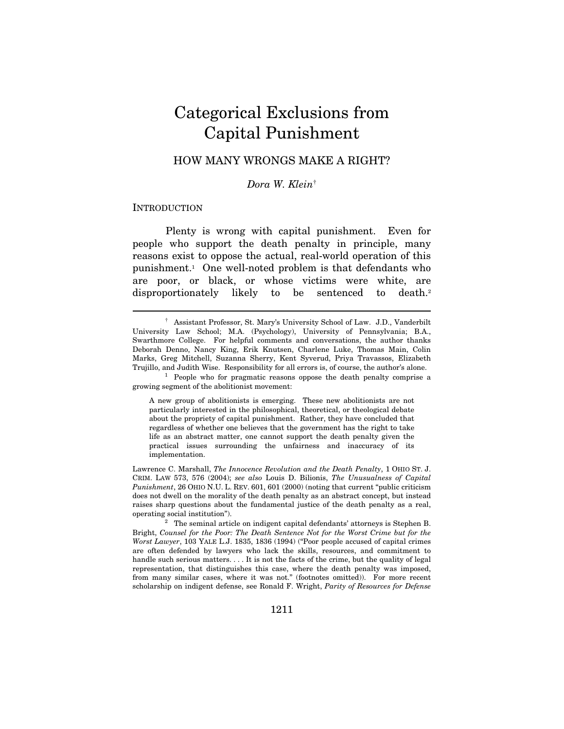## Categorical Exclusions from Capital Punishment

### HOW MANY WRONGS MAKE A RIGHT?

Dora W. Klein†

#### **INTRODUCTION**

 $\overline{a}$ 

Plenty is wrong with capital punishment. Even for people who support the death penalty in principle, many reasons exist to oppose the actual, real-world operation of this punishment.1 One well-noted problem is that defendants who are poor, or black, or whose victims were white, are disproportionately likely to be sentenced to death.<sup>2</sup>

 <sup>†</sup> Assistant Professor, St. Mary's University School of Law. J.D., Vanderbilt University Law School; M.A. (Psychology), University of Pennsylvania; B.A., Swarthmore College. For helpful comments and conversations, the author thanks Deborah Denno, Nancy King, Erik Knutsen, Charlene Luke, Thomas Main, Colin Marks, Greg Mitchell, Suzanna Sherry, Kent Syverud, Priya Travassos, Elizabeth Trujillo, and Judith Wise. Responsibility for all errors is, of course, the author's alone. 1 People who for pragmatic reasons oppose the death penalty comprise a

growing segment of the abolitionist movement:

A new group of abolitionists is emerging. These new abolitionists are not particularly interested in the philosophical, theoretical, or theological debate about the propriety of capital punishment. Rather, they have concluded that regardless of whether one believes that the government has the right to take life as an abstract matter, one cannot support the death penalty given the practical issues surrounding the unfairness and inaccuracy of its implementation.

Lawrence C. Marshall, The Innocence Revolution and the Death Penalty, 1 OHIO ST. J. CRIM. LAW 573, 576 (2004); see also Louis D. Bilionis, The Unusualness of Capital Punishment, 26 OHIO N.U. L. REV. 601, 601 (2000) (noting that current "public criticism does not dwell on the morality of the death penalty as an abstract concept, but instead raises sharp questions about the fundamental justice of the death penalty as a real, operating social institution").

 $^2$  The seminal article on indigent capital defendants' attorneys is Stephen B. Bright, Counsel for the Poor: The Death Sentence Not for the Worst Crime but for the Worst Lawyer, 103 YALE L.J. 1835, 1836 (1994) ("Poor people accused of capital crimes are often defended by lawyers who lack the skills, resources, and commitment to handle such serious matters. . . . It is not the facts of the crime, but the quality of legal representation, that distinguishes this case, where the death penalty was imposed, from many similar cases, where it was not." (footnotes omitted)). For more recent scholarship on indigent defense, see Ronald F. Wright, Parity of Resources for Defense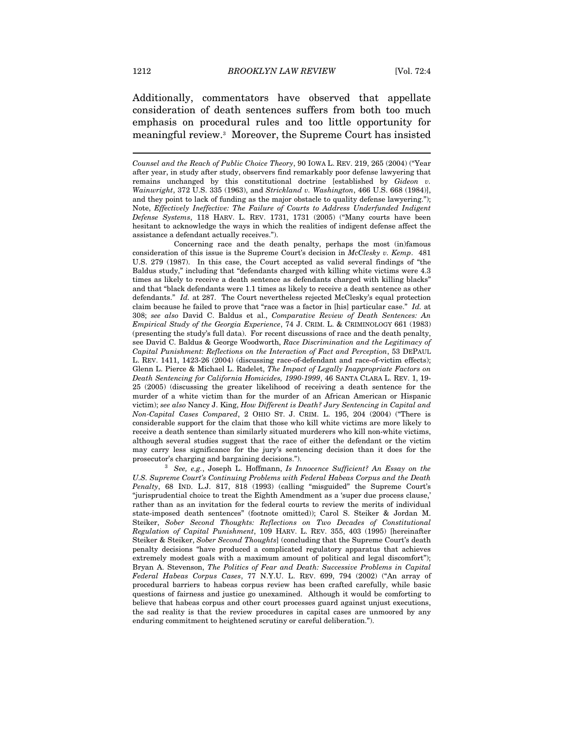Additionally, commentators have observed that appellate consideration of death sentences suffers from both too much emphasis on procedural rules and too little opportunity for meaningful review.3 Moreover, the Supreme Court has insisted

 Concerning race and the death penalty, perhaps the most (in)famous consideration of this issue is the Supreme Court's decision in McClesky v. Kemp. 481 U.S. 279 (1987). In this case, the Court accepted as valid several findings of "the Baldus study," including that "defendants charged with killing white victims were 4.3 times as likely to receive a death sentence as defendants charged with killing blacks" and that "black defendants were 1.1 times as likely to receive a death sentence as other defendants." Id. at 287. The Court nevertheless rejected McClesky's equal protection claim because he failed to prove that "race was a factor in [his] particular case." Id. at 308; see also David C. Baldus et al., Comparative Review of Death Sentences: An Empirical Study of the Georgia Experience, 74 J. CRIM. L. & CRIMINOLOGY 661 (1983) (presenting the study's full data). For recent discussions of race and the death penalty, see David C. Baldus & George Woodworth, Race Discrimination and the Legitimacy of Capital Punishment: Reflections on the Interaction of Fact and Perception, 53 DEPAUL L. REV. 1411, 1423-26 (2004) (discussing race-of-defendant and race-of-victim effects); Glenn L. Pierce & Michael L. Radelet, The Impact of Legally Inappropriate Factors on Death Sentencing for California Homicides, 1990-1999, 46 SANTA CLARA L. REV. 1, 19- 25 (2005) (discussing the greater likelihood of receiving a death sentence for the murder of a white victim than for the murder of an African American or Hispanic victim); see also Nancy J. King, How Different is Death? Jury Sentencing in Capital and Non-Capital Cases Compared, 2 OHIO ST. J. CRIM. L. 195, 204 (2004) ("There is considerable support for the claim that those who kill white victims are more likely to receive a death sentence than similarly situated murderers who kill non-white victims, although several studies suggest that the race of either the defendant or the victim may carry less significance for the jury's sentencing decision than it does for the prosecutor's charging and bargaining decisions.").<br><sup>3</sup> See, e.g., Joseph L. Hoffmann, *Is Innocence Sufficient? An Essay on the* 

U.S. Supreme Court's Continuing Problems with Federal Habeas Corpus and the Death Penalty, 68 IND. L.J. 817, 818 (1993) (calling "misguided" the Supreme Court's "jurisprudential choice to treat the Eighth Amendment as a 'super due process clause,' rather than as an invitation for the federal courts to review the merits of individual state-imposed death sentences" (footnote omitted)); Carol S. Steiker & Jordan M. Steiker, Sober Second Thoughts: Reflections on Two Decades of Constitutional Regulation of Capital Punishment, 109 HARV. L. REV. 355, 403 (1995) [hereinafter Steiker & Steiker, Sober Second Thoughts] (concluding that the Supreme Court's death penalty decisions "have produced a complicated regulatory apparatus that achieves extremely modest goals with a maximum amount of political and legal discomfort"); Bryan A. Stevenson, The Politics of Fear and Death: Successive Problems in Capital Federal Habeas Corpus Cases, 77 N.Y.U. L. REV. 699, 794 (2002) ("An array of procedural barriers to habeas corpus review has been crafted carefully, while basic questions of fairness and justice go unexamined. Although it would be comforting to believe that habeas corpus and other court processes guard against unjust executions, the sad reality is that the review procedures in capital cases are unmoored by any enduring commitment to heightened scrutiny or careful deliberation.").

Counsel and the Reach of Public Choice Theory, 90 IOWA L. REV. 219, 265 (2004) ("Year after year, in study after study, observers find remarkably poor defense lawyering that remains unchanged by this constitutional doctrine [established by Gideon v. Wainwright, 372 U.S. 335 (1963), and Strickland v. Washington, 466 U.S. 668 (1984)], and they point to lack of funding as the major obstacle to quality defense lawyering."); Note, Effectively Ineffective: The Failure of Courts to Address Underfunded Indigent Defense Systems, 118 HARV. L. REV. 1731, 1731 (2005) ("Many courts have been hesitant to acknowledge the ways in which the realities of indigent defense affect the assistance a defendant actually receives.").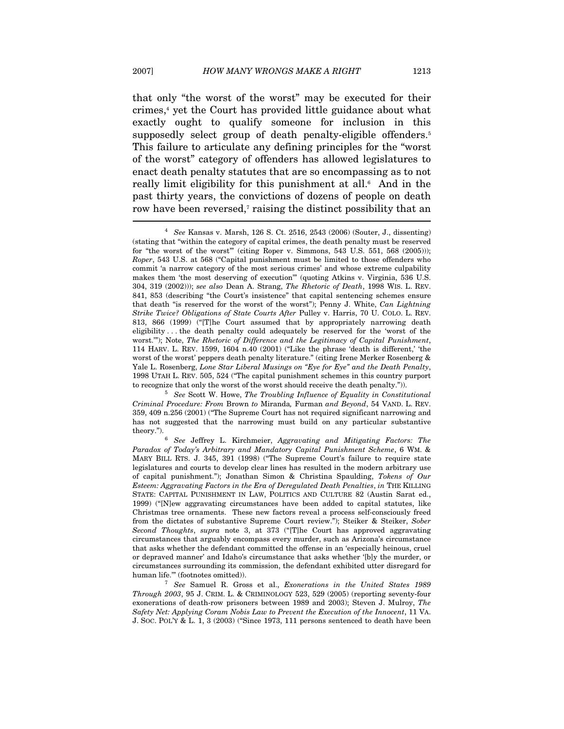that only "the worst of the worst" may be executed for their crimes,<sup>4</sup> yet the Court has provided little guidance about what exactly ought to qualify someone for inclusion in this supposedly select group of death penalty-eligible offenders.<sup>5</sup> This failure to articulate any defining principles for the "worst of the worst" category of offenders has allowed legislatures to enact death penalty statutes that are so encompassing as to not really limit eligibility for this punishment at all.<sup>6</sup> And in the past thirty years, the convictions of dozens of people on death row have been reversed,<sup>7</sup> raising the distinct possibility that an

<sup>&</sup>lt;sup>4</sup> See Kansas v. Marsh, 126 S. Ct. 2516, 2543 (2006) (Souter, J., dissenting) (stating that "within the category of capital crimes, the death penalty must be reserved for "the worst of the worst" (citing Roper v. Simmons, 543 U.S. 551, 568 (2005))); Roper, 543 U.S. at 568 ("Capital punishment must be limited to those offenders who commit 'a narrow category of the most serious crimes' and whose extreme culpability makes them 'the most deserving of execution'" (quoting Atkins v. Virginia, 536 U.S. 304, 319 (2002))); see also Dean A. Strang, The Rhetoric of Death, 1998 WIS. L. REV. 841, 853 (describing "the Court's insistence" that capital sentencing schemes ensure that death "is reserved for the worst of the worst"); Penny J. White, Can Lightning Strike Twice? Obligations of State Courts After Pulley v. Harris, 70 U. COLO. L. REV. 813, 866 (1999) ("[T]he Court assumed that by appropriately narrowing death eligibility . . . the death penalty could adequately be reserved for the 'worst of the worst.""); Note, The Rhetoric of Difference and the Legitimacy of Capital Punishment, 114 HARV. L. REV. 1599, 1604 n.40 (2001) ("Like the phrase 'death is different,' 'the worst of the worst' peppers death penalty literature." (citing Irene Merker Rosenberg & Yale L. Rosenberg, Lone Star Liberal Musings on "Eye for Eye" and the Death Penalty, 1998 UTAH L. REV. 505, 524 ("The capital punishment schemes in this country purport

 $5$  See Scott W. Howe, The Troubling Influence of Equality in Constitutional Criminal Procedure: From Brown to Miranda, Furman and Beyond, 54 VAND. L. REV. 359, 409 n.256 (2001) ("The Supreme Court has not required significant narrowing and has not suggested that the narrowing must build on any particular substantive theory."). 6 See Jeffrey L. Kirchmeier, Aggravating and Mitigating Factors: The

Paradox of Today's Arbitrary and Mandatory Capital Punishment Scheme, 6 WM. & MARY BILL RTS. J. 345, 391 (1998) ("The Supreme Court's failure to require state legislatures and courts to develop clear lines has resulted in the modern arbitrary use of capital punishment."); Jonathan Simon & Christina Spaulding, Tokens of Our Esteem: Aggravating Factors in the Era of Deregulated Death Penalties, in THE KILLING STATE: CAPITAL PUNISHMENT IN LAW, POLITICS AND CULTURE 82 (Austin Sarat ed., 1999) ("[N]ew aggravating circumstances have been added to capital statutes, like Christmas tree ornaments. These new factors reveal a process self-consciously freed from the dictates of substantive Supreme Court review."); Steiker & Steiker, Sober Second Thoughts, supra note 3, at 373 ("[T]he Court has approved aggravating circumstances that arguably encompass every murder, such as Arizona's circumstance that asks whether the defendant committed the offense in an 'especially heinous, cruel or depraved manner' and Idaho's circumstance that asks whether '[b]y the murder, or circumstances surrounding its commission, the defendant exhibited utter disregard for human life." (footnotes omitted)). <sup>7</sup> See Samuel R. Gross et al., *Exonerations in the United States 1989* 

Through 2003, 95 J. CRIM. L. & CRIMINOLOGY 523, 529 (2005) (reporting seventy-four exonerations of death-row prisoners between 1989 and 2003); Steven J. Mulroy, The Safety Net: Applying Coram Nobis Law to Prevent the Execution of the Innocent, 11 VA. J. SOC. POL'Y & L. 1, 3 (2003) ("Since 1973, 111 persons sentenced to death have been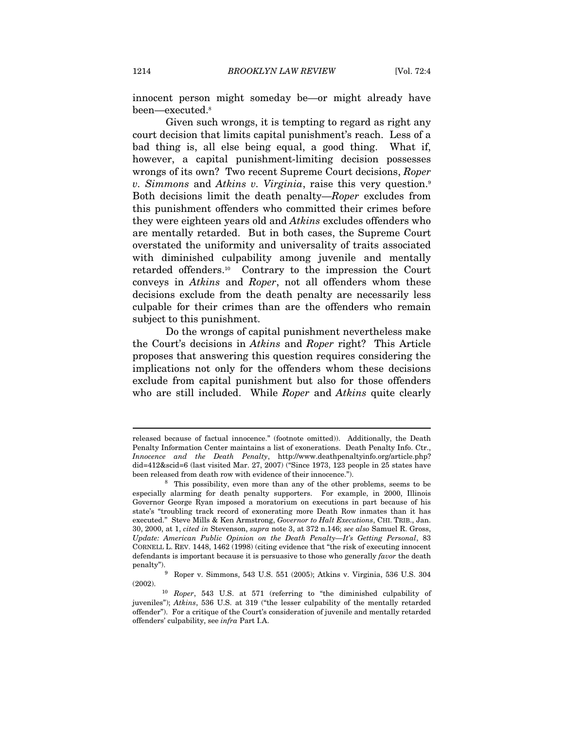innocent person might someday be—or might already have been—executed.8

Given such wrongs, it is tempting to regard as right any court decision that limits capital punishment's reach. Less of a bad thing is, all else being equal, a good thing. What if, however, a capital punishment-limiting decision possesses wrongs of its own? Two recent Supreme Court decisions, Roper v. Simmons and Atkins v. Virginia, raise this very question.<sup>9</sup> Both decisions limit the death penalty—Roper excludes from this punishment offenders who committed their crimes before they were eighteen years old and Atkins excludes offenders who are mentally retarded. But in both cases, the Supreme Court overstated the uniformity and universality of traits associated with diminished culpability among juvenile and mentally retarded offenders.10 Contrary to the impression the Court conveys in Atkins and Roper, not all offenders whom these decisions exclude from the death penalty are necessarily less culpable for their crimes than are the offenders who remain subject to this punishment.

Do the wrongs of capital punishment nevertheless make the Court's decisions in Atkins and Roper right? This Article proposes that answering this question requires considering the implications not only for the offenders whom these decisions exclude from capital punishment but also for those offenders who are still included. While Roper and Atkins quite clearly

released because of factual innocence." (footnote omitted)). Additionally, the Death Penalty Information Center maintains a list of exonerations. Death Penalty Info. Ctr., Innocence and the Death Penalty, http://www.deathpenaltyinfo.org/article.php? did=412&scid=6 (last visited Mar. 27, 2007) ("Since 1973, 123 people in 25 states have been released from death row with evidence of their innocence.").<br><sup>8</sup> This possibility, even more than any of the other problems, seems to be

especially alarming for death penalty supporters. For example, in 2000, Illinois Governor George Ryan imposed a moratorium on executions in part because of his state's "troubling track record of exonerating more Death Row inmates than it has executed." Steve Mills & Ken Armstrong, Governor to Halt Executions, CHI. TRIB., Jan. 30, 2000, at 1, cited in Stevenson, supra note 3, at 372 n.146; see also Samuel R. Gross, Update: American Public Opinion on the Death Penalty—It's Getting Personal, 83 CORNELL L. REV. 1448, 1462 (1998) (citing evidence that "the risk of executing innocent defendants is important because it is persuasive to those who generally favor the death

penalty"). 9 Roper v. Simmons, 543 U.S. 551 (2005); Atkins v. Virginia, 536 U.S. 304 (2002). 10 Roper, 543 U.S. at 571 (referring to "the diminished culpability of

juveniles"); Atkins, 536 U.S. at 319 ("the lesser culpability of the mentally retarded offender"). For a critique of the Court's consideration of juvenile and mentally retarded offenders' culpability, see infra Part I.A.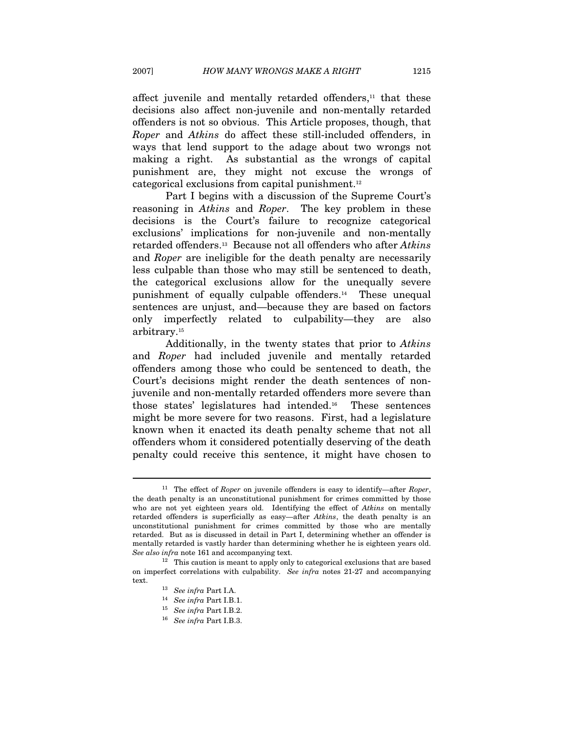affect juvenile and mentally retarded offenders,<sup>11</sup> that these decisions also affect non-juvenile and non-mentally retarded offenders is not so obvious. This Article proposes, though, that Roper and Atkins do affect these still-included offenders, in ways that lend support to the adage about two wrongs not making a right. As substantial as the wrongs of capital punishment are, they might not excuse the wrongs of categorical exclusions from capital punishment.12

Part I begins with a discussion of the Supreme Court's reasoning in Atkins and Roper. The key problem in these decisions is the Court's failure to recognize categorical exclusions' implications for non-juvenile and non-mentally retarded offenders.<sup>13</sup> Because not all offenders who after Atkins and Roper are ineligible for the death penalty are necessarily less culpable than those who may still be sentenced to death, the categorical exclusions allow for the unequally severe punishment of equally culpable offenders.14 These unequal sentences are unjust, and—because they are based on factors only imperfectly related to culpability—they are also arbitrary.15

Additionally, in the twenty states that prior to Atkins and Roper had included juvenile and mentally retarded offenders among those who could be sentenced to death, the Court's decisions might render the death sentences of nonjuvenile and non-mentally retarded offenders more severe than those states' legislatures had intended.16 These sentences might be more severe for two reasons. First, had a legislature known when it enacted its death penalty scheme that not all offenders whom it considered potentially deserving of the death penalty could receive this sentence, it might have chosen to

<sup>&</sup>lt;sup>11</sup> The effect of *Roper* on juvenile offenders is easy to identify—after *Roper*, the death penalty is an unconstitutional punishment for crimes committed by those who are not yet eighteen years old. Identifying the effect of *Atkins* on mentally retarded offenders is superficially as easy—after Atkins, the death penalty is an unconstitutional punishment for crimes committed by those who are mentally retarded. But as is discussed in detail in Part I, determining whether an offender is mentally retarded is vastly harder than determining whether he is eighteen years old.<br>See also infra note 161 and accompanying text.

 $12$  This caution is meant to apply only to categorical exclusions that are based on imperfect correlations with culpability. See infra notes 21-27 and accompanying text.  $13\quad \text{See infra Part I.A.}$ 

<sup>&</sup>lt;sup>14</sup> See infra Part I.B.1.<br><sup>15</sup> See infra Part I.B.2.<br><sup>16</sup> See infra Part I.B.3.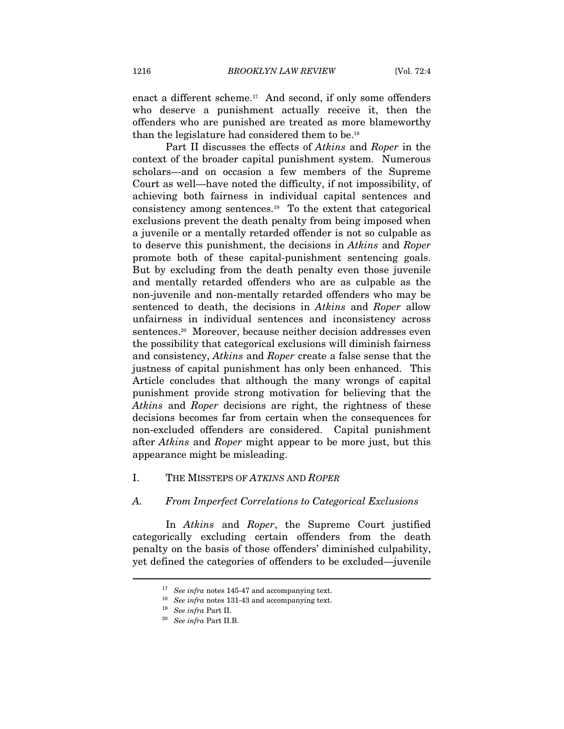enact a different scheme.<sup>17</sup> And second, if only some offenders who deserve a punishment actually receive it, then the offenders who are punished are treated as more blameworthy than the legislature had considered them to be.18

Part II discusses the effects of Atkins and Roper in the context of the broader capital punishment system. Numerous scholars—and on occasion a few members of the Supreme Court as well—have noted the difficulty, if not impossibility, of achieving both fairness in individual capital sentences and consistency among sentences.19 To the extent that categorical exclusions prevent the death penalty from being imposed when a juvenile or a mentally retarded offender is not so culpable as to deserve this punishment, the decisions in Atkins and Roper promote both of these capital-punishment sentencing goals. But by excluding from the death penalty even those juvenile and mentally retarded offenders who are as culpable as the non-juvenile and non-mentally retarded offenders who may be sentenced to death, the decisions in Atkins and Roper allow unfairness in individual sentences and inconsistency across sentences.<sup>20</sup> Moreover, because neither decision addresses even the possibility that categorical exclusions will diminish fairness and consistency, Atkins and Roper create a false sense that the justness of capital punishment has only been enhanced. This Article concludes that although the many wrongs of capital punishment provide strong motivation for believing that the Atkins and Roper decisions are right, the rightness of these decisions becomes far from certain when the consequences for non-excluded offenders are considered. Capital punishment after Atkins and Roper might appear to be more just, but this appearance might be misleading.

#### I. THE MISSTEPS OF ATKINS AND ROPER

#### A. From Imperfect Correlations to Categorical Exclusions

In Atkins and Roper, the Supreme Court justified categorically excluding certain offenders from the death penalty on the basis of those offenders' diminished culpability, yet defined the categories of offenders to be excluded—juvenile

 $17$  See infra notes 145-47 and accompanying text.

<sup>&</sup>lt;sup>18</sup> See infra notes 131-43 and accompanying text.<br><sup>19</sup> See infra Part II.<br><sup>20</sup> See infra Part II.B.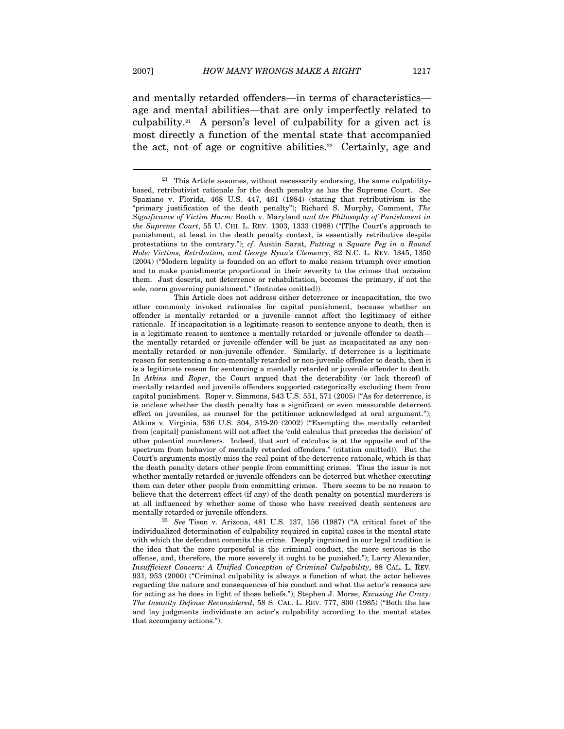$\overline{a}$ 

and mentally retarded offenders—in terms of characteristics age and mental abilities—that are only imperfectly related to culpability.<sup>21</sup> A person's level of culpability for a given act is most directly a function of the mental state that accompanied the act, not of age or cognitive abilities.<sup>22</sup> Certainly, age and

 This Article does not address either deterrence or incapacitation, the two other commonly invoked rationales for capital punishment, because whether an offender is mentally retarded or a juvenile cannot affect the legitimacy of either rationale. If incapacitation is a legitimate reason to sentence anyone to death, then it is a legitimate reason to sentence a mentally retarded or juvenile offender to death the mentally retarded or juvenile offender will be just as incapacitated as any nonmentally retarded or non-juvenile offender. Similarly, if deterrence is a legitimate reason for sentencing a non-mentally retarded or non-juvenile offender to death, then it is a legitimate reason for sentencing a mentally retarded or juvenile offender to death. In Atkins and Roper, the Court argued that the deterability (or lack thereof) of mentally retarded and juvenile offenders supported categorically excluding them from capital punishment. Roper v. Simmons, 543 U.S. 551, 571 (2005) ("As for deterrence, it is unclear whether the death penalty has a significant or even measurable deterrent effect on juveniles, as counsel for the petitioner acknowledged at oral argument."); Atkins v. Virginia, 536 U.S. 304, 319-20 (2002) ("Exempting the mentally retarded from [capital] punishment will not affect the 'cold calculus that precedes the decision' of other potential murderers. Indeed, that sort of calculus is at the opposite end of the spectrum from behavior of mentally retarded offenders." (citation omitted)). But the Court's arguments mostly miss the real point of the deterrence rationale, which is that the death penalty deters other people from committing crimes. Thus the issue is not whether mentally retarded or juvenile offenders can be deterred but whether executing them can deter other people from committing crimes. There seems to be no reason to believe that the deterrent effect (if any) of the death penalty on potential murderers is at all influenced by whether some of those who have received death sentences are mentally retarded or juvenile offenders.<br><sup>22</sup> See Tison v. Arizona, 481 U.S. 137, 156 (1987) ("A critical facet of the

individualized determination of culpability required in capital cases is the mental state with which the defendant commits the crime. Deeply ingrained in our legal tradition is the idea that the more purposeful is the criminal conduct, the more serious is the offense, and, therefore, the more severely it ought to be punished."); Larry Alexander, Insufficient Concern: A Unified Conception of Criminal Culpability, 88 CAL. L. REV. 931, 953 (2000) ("Criminal culpability is always a function of what the actor believes regarding the nature and consequences of his conduct and what the actor's reasons are for acting as he does in light of those beliefs."); Stephen J. Morse, Excusing the Crazy: The Insanity Defense Reconsidered, 58 S. CAL. L. REV. 777, 800 (1985) ("Both the law and lay judgments individuate an actor's culpability according to the mental states that accompany actions.").

This Article assumes, without necessarily endorsing, the same culpabilitybased, retributivist rationale for the death penalty as has the Supreme Court. See Spaziano v. Florida, 468 U.S. 447, 461 (1984) (stating that retributivism is the "primary justification of the death penalty"); Richard S. Murphy, Comment, The Significance of Victim Harm: Booth v. Maryland and the Philosophy of Punishment in the Supreme Court, 55 U. CHI. L. REV. 1303, 1333 (1988) ("[T]he Court's approach to punishment, at least in the death penalty context, is essentially retributive despite protestations to the contrary."); cf. Austin Sarat, Putting a Square Peg in a Round Hole: Victims, Retribution, and George Ryan's Clemency, 82 N.C. L. REV. 1345, 1350 (2004) ("Modern legality is founded on an effort to make reason triumph over emotion and to make punishments proportional in their severity to the crimes that occasion them. Just deserts, not deterrence or rehabilitation, becomes the primary, if not the sole, norm governing punishment." (footnotes omitted)).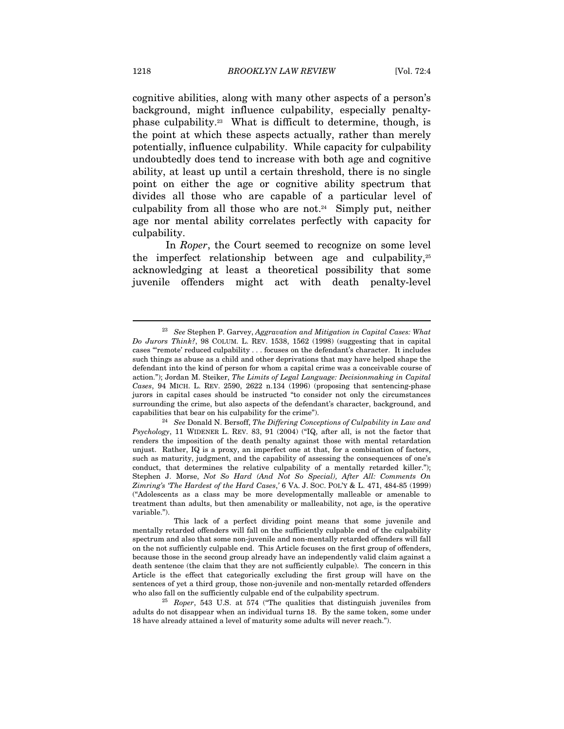cognitive abilities, along with many other aspects of a person's background, might influence culpability, especially penaltyphase culpability.23 What is difficult to determine, though, is the point at which these aspects actually, rather than merely potentially, influence culpability. While capacity for culpability undoubtedly does tend to increase with both age and cognitive ability, at least up until a certain threshold, there is no single point on either the age or cognitive ability spectrum that divides all those who are capable of a particular level of culpability from all those who are not.<sup>24</sup> Simply put, neither age nor mental ability correlates perfectly with capacity for culpability.

In *Roper*, the Court seemed to recognize on some level the imperfect relationship between age and culpability, $25$ acknowledging at least a theoretical possibility that some juvenile offenders might act with death penalty-level

 $23$  See Stephen P. Garvey, Aggravation and Mitigation in Capital Cases: What Do Jurors Think?, 98 COLUM. L. REV. 1538, 1562 (1998) (suggesting that in capital cases "'remote' reduced culpability . . . focuses on the defendant's character. It includes such things as abuse as a child and other deprivations that may have helped shape the defendant into the kind of person for whom a capital crime was a conceivable course of action."); Jordan M. Steiker, The Limits of Legal Language: Decisionmaking in Capital Cases, 94 MICH. L. REV. 2590, 2622 n.134 (1996) (proposing that sentencing-phase jurors in capital cases should be instructed "to consider not only the circumstances surrounding the crime, but also aspects of the defendant's character, background, and capabilities that bear on his culpability for the crime").<br><sup>24</sup> See Donald N. Bersoff, *The Differing Conceptions of Culpability in Law and* 

Psychology, 11 WIDENER L. REV. 83, 91 (2004) ("IQ, after all, is not the factor that renders the imposition of the death penalty against those with mental retardation unjust. Rather, IQ is a proxy, an imperfect one at that, for a combination of factors, such as maturity, judgment, and the capability of assessing the consequences of one's conduct, that determines the relative culpability of a mentally retarded killer."); Stephen J. Morse, Not So Hard (And Not So Special), After All: Comments On Zimring's 'The Hardest of the Hard Cases,' 6 VA. J. SOC. POL'Y & L. 471, 484-85 (1999) ("Adolescents as a class may be more developmentally malleable or amenable to treatment than adults, but then amenability or malleability, not age, is the operative variable.").

This lack of a perfect dividing point means that some juvenile and mentally retarded offenders will fall on the sufficiently culpable end of the culpability spectrum and also that some non-juvenile and non-mentally retarded offenders will fall on the not sufficiently culpable end. This Article focuses on the first group of offenders, because those in the second group already have an independently valid claim against a death sentence (the claim that they are not sufficiently culpable). The concern in this Article is the effect that categorically excluding the first group will have on the sentences of yet a third group, those non-juvenile and non-mentally retarded offenders who also fall on the sufficiently culpable end of the culpability spectrum.<br><sup>25</sup> Roper, 543 U.S. at 574 ("The qualities that distinguish juveniles from

adults do not disappear when an individual turns 18. By the same token, some under 18 have already attained a level of maturity some adults will never reach.").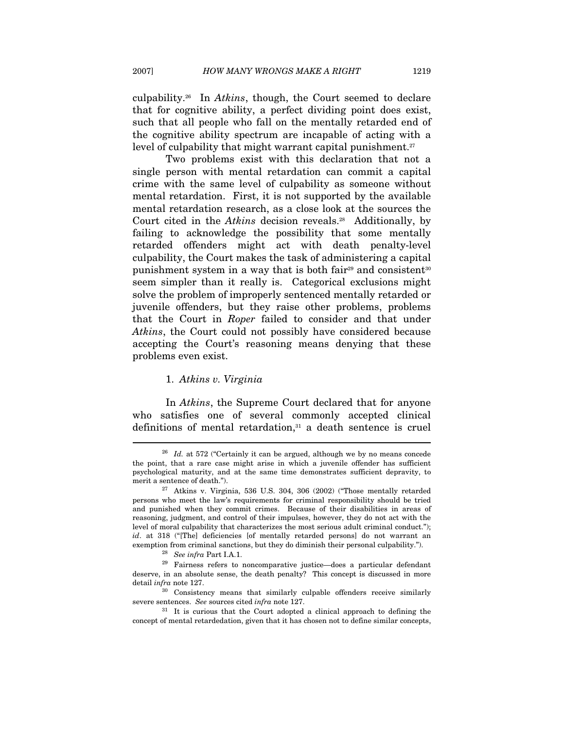culpability.26 In Atkins, though, the Court seemed to declare that for cognitive ability, a perfect dividing point does exist, such that all people who fall on the mentally retarded end of the cognitive ability spectrum are incapable of acting with a level of culpability that might warrant capital punishment.<sup>27</sup>

Two problems exist with this declaration that not a single person with mental retardation can commit a capital crime with the same level of culpability as someone without mental retardation. First, it is not supported by the available mental retardation research, as a close look at the sources the Court cited in the *Atkins* decision reveals.<sup>28</sup> Additionally, by failing to acknowledge the possibility that some mentally retarded offenders might act with death penalty-level culpability, the Court makes the task of administering a capital punishment system in a way that is both fair<sup>29</sup> and consistent<sup>30</sup> seem simpler than it really is. Categorical exclusions might solve the problem of improperly sentenced mentally retarded or juvenile offenders, but they raise other problems, problems that the Court in Roper failed to consider and that under Atkins, the Court could not possibly have considered because accepting the Court's reasoning means denying that these problems even exist.

#### 1. Atkins v. Virginia

In Atkins, the Supreme Court declared that for anyone who satisfies one of several commonly accepted clinical definitions of mental retardation,<sup>31</sup> a death sentence is cruel

<sup>&</sup>lt;sup>26</sup> Id. at 572 ("Certainly it can be argued, although we by no means concede the point, that a rare case might arise in which a juvenile offender has sufficient psychological maturity, and at the same time demonstrates sufficient depravity, to merit a sentence of death.").<br><sup>27</sup> Atkins v. Virginia, 536 U.S. 304, 306 (2002) ("Those mentally retarded

persons who meet the law's requirements for criminal responsibility should be tried and punished when they commit crimes. Because of their disabilities in areas of reasoning, judgment, and control of their impulses, however, they do not act with the level of moral culpability that characterizes the most serious adult criminal conduct."); id. at 318 ("[The] deficiencies [of mentally retarded persons] do not warrant an exemption from criminal sanctions, but they do diminish their personal culpability.").<br><sup>28</sup> See infra Part I.A.1.<br><sup>29</sup> Fairness refers to noncomparative justice—does a particular defendant

deserve, in an absolute sense, the death penalty? This concept is discussed in more detail  $\inf$ ra note 127.<br><sup>30</sup> Consistency means that similarly culpable offenders receive similarly

severe sentences. See sources cited *infra* note 127.<br><sup>31</sup> It is curious that the Court adopted a clinical approach to defining the

concept of mental retardedation, given that it has chosen not to define similar concepts,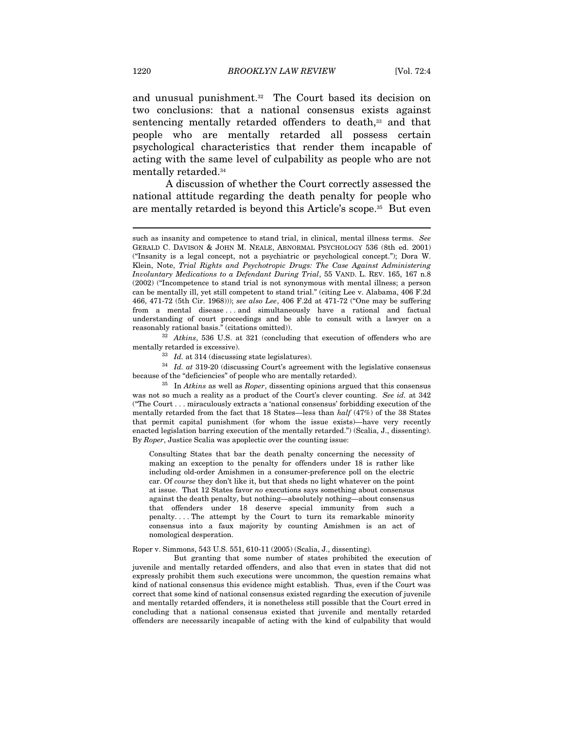and unusual punishment.<sup>32</sup> The Court based its decision on two conclusions: that a national consensus exists against sentencing mentally retarded offenders to death,<sup>33</sup> and that people who are mentally retarded all possess certain psychological characteristics that render them incapable of acting with the same level of culpability as people who are not mentally retarded.34

A discussion of whether the Court correctly assessed the national attitude regarding the death penalty for people who are mentally retarded is beyond this Article's scope.35 But even

mentally retarded is excessive).<br><sup>33</sup> Id. at 314 (discussing state legislatures).<br><sup>34</sup> Id. at 319-20 (discussing Court's agreement with the legislative consensus because of the "deficiencies" of people who are mentally retarded).<br><sup>35</sup> In Atkins as well as Roper, dissenting opinions argued that this consensus

was not so much a reality as a product of the Court's clever counting. See id. at 342 ("The Court . . . miraculously extracts a 'national consensus' forbidding execution of the mentally retarded from the fact that 18 States—less than half (47%) of the 38 States that permit capital punishment (for whom the issue exists)—have very recently enacted legislation barring execution of the mentally retarded.") (Scalia, J., dissenting). By Roper, Justice Scalia was apoplectic over the counting issue:

Consulting States that bar the death penalty concerning the necessity of making an exception to the penalty for offenders under 18 is rather like including old-order Amishmen in a consumer-preference poll on the electric car. Of course they don't like it, but that sheds no light whatever on the point at issue. That 12 States favor no executions says something about consensus against the death penalty, but nothing—absolutely nothing—about consensus that offenders under 18 deserve special immunity from such a penalty. . . . The attempt by the Court to turn its remarkable minority consensus into a faux majority by counting Amishmen is an act of nomological desperation.

Roper v. Simmons, 543 U.S. 551, 610-11 (2005) (Scalia, J., dissenting).

 But granting that some number of states prohibited the execution of juvenile and mentally retarded offenders, and also that even in states that did not expressly prohibit them such executions were uncommon, the question remains what kind of national consensus this evidence might establish. Thus, even if the Court was correct that some kind of national consensus existed regarding the execution of juvenile and mentally retarded offenders, it is nonetheless still possible that the Court erred in concluding that a national consensus existed that juvenile and mentally retarded offenders are necessarily incapable of acting with the kind of culpability that would

such as insanity and competence to stand trial, in clinical, mental illness terms. See GERALD C. DAVISON & JOHN M. NEALE, ABNORMAL PSYCHOLOGY 536 (8th ed. 2001) ("Insanity is a legal concept, not a psychiatric or psychological concept."); Dora W. Klein, Note, Trial Rights and Psychotropic Drugs: The Case Against Administering Involuntary Medications to a Defendant During Trial, 55 VAND. L. REV. 165, 167 n.8 (2002) ("Incompetence to stand trial is not synonymous with mental illness; a person can be mentally ill, yet still competent to stand trial." (citing Lee v. Alabama, 406 F.2d 466, 471-72 (5th Cir. 1968))); see also Lee, 406 F.2d at 471-72 ("One may be suffering from a mental disease . . . and simultaneously have a rational and factual understanding of court proceedings and be able to consult with a lawyer on a reasonably rational basis." (citations omitted)). 32 Atkins, 536 U.S. at 321 (concluding that execution of offenders who are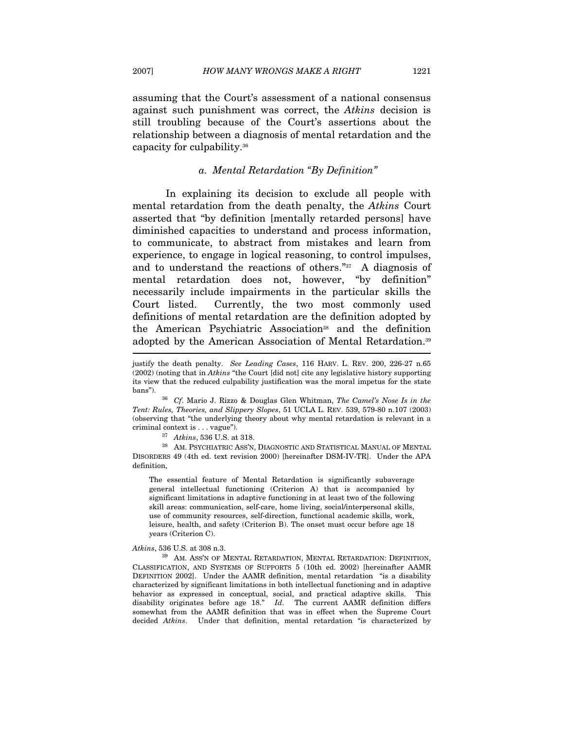2007] HOW MANY WRONGS MAKE A RIGHT 1221

assuming that the Court's assessment of a national consensus

against such punishment was correct, the Atkins decision is still troubling because of the Court's assertions about the relationship between a diagnosis of mental retardation and the capacity for culpability.36

#### a. Mental Retardation "By Definition"

In explaining its decision to exclude all people with mental retardation from the death penalty, the Atkins Court asserted that "by definition [mentally retarded persons] have diminished capacities to understand and process information, to communicate, to abstract from mistakes and learn from experience, to engage in logical reasoning, to control impulses, and to understand the reactions of others."37 A diagnosis of mental retardation does not, however, "by definition" necessarily include impairments in the particular skills the Court listed. Currently, the two most commonly used definitions of mental retardation are the definition adopted by the American Psychiatric Association<sup>38</sup> and the definition adopted by the American Association of Mental Retardation.39

DISORDERS 49 (4th ed. text revision 2000) [hereinafter DSM-IV-TR]. Under the APA definition,

The essential feature of Mental Retardation is significantly subaverage general intellectual functioning (Criterion A) that is accompanied by significant limitations in adaptive functioning in at least two of the following skill areas: communication, self-care, home living, social/interpersonal skills, use of community resources, self-direction, functional academic skills, work, leisure, health, and safety (Criterion B). The onset must occur before age 18 years (Criterion C).

Atkins, 536 U.S. at 308 n.3.<br><sup>39</sup> AM. ASS'N OF MENTAL RETARDATION, MENTAL RETARDATION: DEFINITION, CLASSIFICATION, AND SYSTEMS OF SUPPORTS 5 (10th ed. 2002) [hereinafter AAMR DEFINITION 2002]. Under the AAMR definition, mental retardation "is a disability characterized by significant limitations in both intellectual functioning and in adaptive behavior as expressed in conceptual, social, and practical adaptive skills. This disability originates before age 18." Id. The current AAMR definition differs somewhat from the AAMR definition that was in effect when the Supreme Court decided Atkins. Under that definition, mental retardation "is characterized by

justify the death penalty. See Leading Cases, 116 HARV. L. REV. 200, 226-27 n.65 (2002) (noting that in Atkins "the Court [did not] cite any legislative history supporting its view that the reduced culpability justification was the moral impetus for the state

bans"). <sup>36</sup> Cf. Mario J. Rizzo & Douglas Glen Whitman, *The Camel's Nose Is in the* Tent: Rules, Theories, and Slippery Slopes, 51 UCLA L. REV. 539, 579-80 n.107 (2003) (observing that "the underlying theory about why mental retardation is relevant in a criminal context is . . . vague").  $37$  Atkins, 536 U.S. at 318. <br> $38$  AM. PSYCHIATRIC ASS'N, DIAGNOSTIC AND STATISTICAL MANUAL OF MENTAL  $38$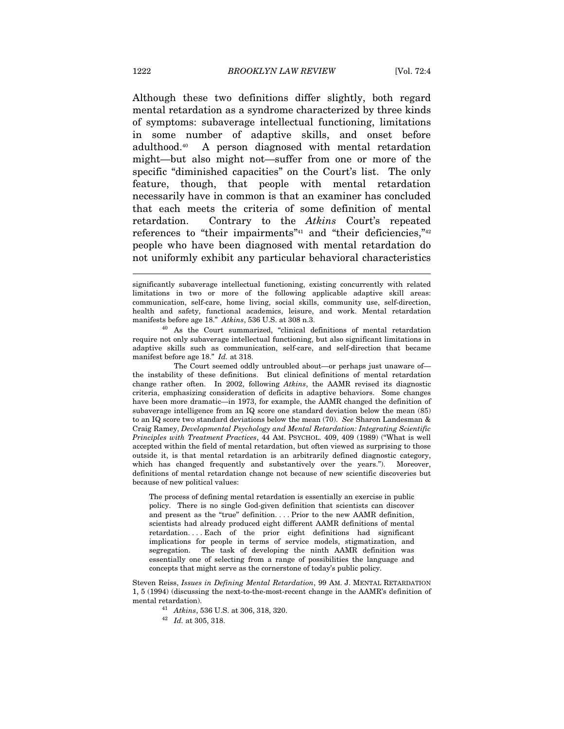Although these two definitions differ slightly, both regard mental retardation as a syndrome characterized by three kinds of symptoms: subaverage intellectual functioning, limitations in some number of adaptive skills, and onset before adulthood.40 A person diagnosed with mental retardation might—but also might not—suffer from one or more of the specific "diminished capacities" on the Court's list. The only feature, though, that people with mental retardation necessarily have in common is that an examiner has concluded that each meets the criteria of some definition of mental retardation. Contrary to the Atkins Court's repeated references to "their impairments"<sup>41</sup> and "their deficiencies,"<sup>42</sup> people who have been diagnosed with mental retardation do not uniformly exhibit any particular behavioral characteristics

require not only subaverage intellectual functioning, but also significant limitations in adaptive skills such as communication, self-care, and self-direction that became manifest before age 18." Id. at 318.

 The Court seemed oddly untroubled about—or perhaps just unaware of the instability of these definitions. But clinical definitions of mental retardation change rather often. In 2002, following Atkins, the AAMR revised its diagnostic criteria, emphasizing consideration of deficits in adaptive behaviors. Some changes have been more dramatic—in 1973, for example, the AAMR changed the definition of subaverage intelligence from an IQ score one standard deviation below the mean (85) to an IQ score two standard deviations below the mean (70). See Sharon Landesman & Craig Ramey, Developmental Psychology and Mental Retardation: Integrating Scientific Principles with Treatment Practices, 44 AM. PSYCHOL. 409, 409 (1989) ("What is well accepted within the field of mental retardation, but often viewed as surprising to those outside it, is that mental retardation is an arbitrarily defined diagnostic category, which has changed frequently and substantively over the years."). Moreover, definitions of mental retardation change not because of new scientific discoveries but because of new political values:

The process of defining mental retardation is essentially an exercise in public policy. There is no single God-given definition that scientists can discover and present as the "true" definition. . . . Prior to the new AAMR definition, scientists had already produced eight different AAMR definitions of mental retardation. . . . Each of the prior eight definitions had significant implications for people in terms of service models, stigmatization, and segregation. The task of developing the ninth AAMR definition was essentially one of selecting from a range of possibilities the language and concepts that might serve as the cornerstone of today's public policy.

Steven Reiss, Issues in Defining Mental Retardation, 99 AM. J. MENTAL RETARDATION 1, 5 (1994) (discussing the next-to-the-most-recent change in the AAMR's definition of mental retardation).

<sup>41</sup> *Atkins*, 536 U.S. at 306, 318, 320.<br><sup>42</sup> *Id.* at 305, 318.

significantly subaverage intellectual functioning, existing concurrently with related limitations in two or more of the following applicable adaptive skill areas: communication, self-care, home living, social skills, community use, self-direction, health and safety, functional academics, leisure, and work. Mental retardation manifests before age 18."  $Atkins$ , 536 U.S. at 308 n.3.<br><sup>40</sup> As the Court summarized, "clinical definitions of mental retardation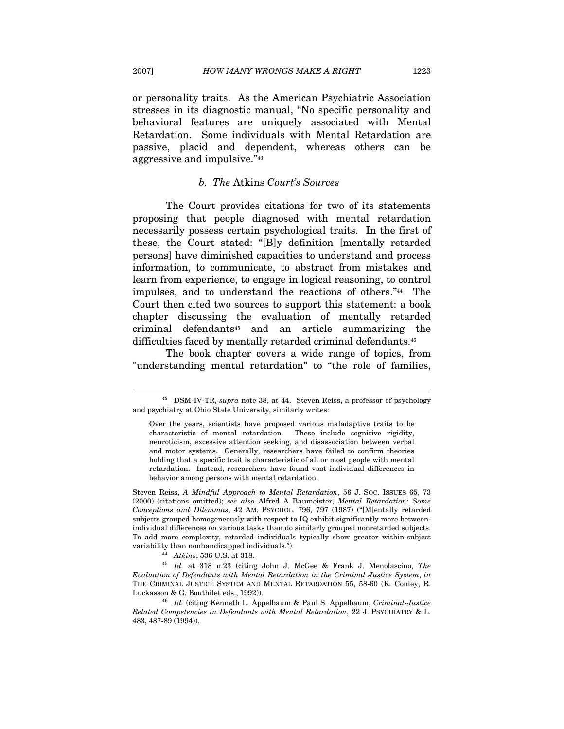or personality traits. As the American Psychiatric Association stresses in its diagnostic manual, "No specific personality and behavioral features are uniquely associated with Mental Retardation. Some individuals with Mental Retardation are passive, placid and dependent, whereas others can be aggressive and impulsive."43

#### b. The Atkins Court's Sources

The Court provides citations for two of its statements proposing that people diagnosed with mental retardation necessarily possess certain psychological traits. In the first of these, the Court stated: "[B]y definition [mentally retarded persons] have diminished capacities to understand and process information, to communicate, to abstract from mistakes and learn from experience, to engage in logical reasoning, to control impulses, and to understand the reactions of others."44 The Court then cited two sources to support this statement: a book chapter discussing the evaluation of mentally retarded criminal defendants45 and an article summarizing the difficulties faced by mentally retarded criminal defendants.<sup>46</sup>

The book chapter covers a wide range of topics, from "understanding mental retardation" to "the role of families,

Steven Reiss, A Mindful Approach to Mental Retardation, 56 J. SOC. ISSUES 65, 73 (2000) (citations omitted); see also Alfred A Baumeister, Mental Retardation: Some Conceptions and Dilemmas, 42 AM. PSYCHOL. 796, 797 (1987) ("[M]entally retarded subjects grouped homogeneously with respect to IQ exhibit significantly more betweenindividual differences on various tasks than do similarly grouped nonretarded subjects. To add more complexity, retarded individuals typically show greater within-subject variability than nonhandicapped individuals.").<br>
<sup>44</sup> Atkins, 536 U.S. at 318.<br>
<sup>45</sup> Id. at 318 n.23 (citing John J. McGee & Frank J. Menolascino, *The* 

Evaluation of Defendants with Mental Retardation in the Criminal Justice System, in THE CRIMINAL JUSTICE SYSTEM AND MENTAL RETARDATION 55, 58-60 (R. Conley, R. Luckasson & G. Bouthilet eds., 1992)).<br><sup>46</sup> Id. (citing Kenneth L. Appelbaum & Paul S. Appelbaum, Criminal-Justice

Related Competencies in Defendants with Mental Retardation, 22 J. PSYCHIATRY & L. 483, 487-89 (1994)).

<sup>&</sup>lt;sup>43</sup> DSM-IV-TR, supra note 38, at 44. Steven Reiss, a professor of psychology and psychiatry at Ohio State University, similarly writes:

Over the years, scientists have proposed various maladaptive traits to be characteristic of mental retardation. These include cognitive rigidity, neuroticism, excessive attention seeking, and disassociation between verbal and motor systems. Generally, researchers have failed to confirm theories holding that a specific trait is characteristic of all or most people with mental retardation. Instead, researchers have found vast individual differences in behavior among persons with mental retardation.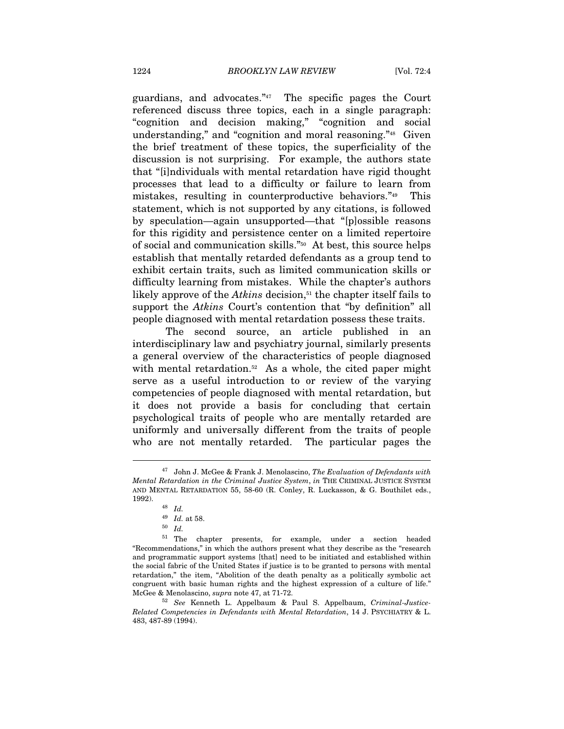guardians, and advocates."47 The specific pages the Court referenced discuss three topics, each in a single paragraph: "cognition and decision making," "cognition and social understanding," and "cognition and moral reasoning."48 Given the brief treatment of these topics, the superficiality of the discussion is not surprising. For example, the authors state that "[i]ndividuals with mental retardation have rigid thought processes that lead to a difficulty or failure to learn from mistakes, resulting in counterproductive behaviors."49 This statement, which is not supported by any citations, is followed by speculation—again unsupported—that "[p]ossible reasons for this rigidity and persistence center on a limited repertoire of social and communication skills."50 At best, this source helps establish that mentally retarded defendants as a group tend to exhibit certain traits, such as limited communication skills or difficulty learning from mistakes. While the chapter's authors likely approve of the Atkins decision, $51$  the chapter itself fails to support the *Atkins* Court's contention that "by definition" all people diagnosed with mental retardation possess these traits.

The second source, an article published in an interdisciplinary law and psychiatry journal, similarly presents a general overview of the characteristics of people diagnosed with mental retardation.<sup>52</sup> As a whole, the cited paper might serve as a useful introduction to or review of the varying competencies of people diagnosed with mental retardation, but it does not provide a basis for concluding that certain psychological traits of people who are mentally retarded are uniformly and universally different from the traits of people who are not mentally retarded. The particular pages the

 $\overline{a}$ 

51 The chapter presents, for example, under a section headed "Recommendations," in which the authors present what they describe as the "research and programmatic support systems [that] need to be initiated and established within the social fabric of the United States if justice is to be granted to persons with mental retardation," the item, "Abolition of the death penalty as a politically symbolic act congruent with basic human rights and the highest expression of a culture of life." McGee & Menolascino, *supra* note 47, at 71-72.<br><sup>52</sup> See Kenneth L. Appelbaum & Paul S. Appelbaum, Criminal-Justice-

Related Competencies in Defendants with Mental Retardation, 14 J. PSYCHIATRY & L. 483, 487-89 (1994).

 $47$  John J. McGee & Frank J. Menolascino, The Evaluation of Defendants with Mental Retardation in the Criminal Justice System, in THE CRIMINAL JUSTICE SYSTEM AND MENTAL RETARDATION 55, 58-60 (R. Conley, R. Luckasson, & G. Bouthilet eds., 1992). 48 Id.

 $^{49}\,$   $\,$   $\!ld$  . at 58.

<sup>50</sup> Id.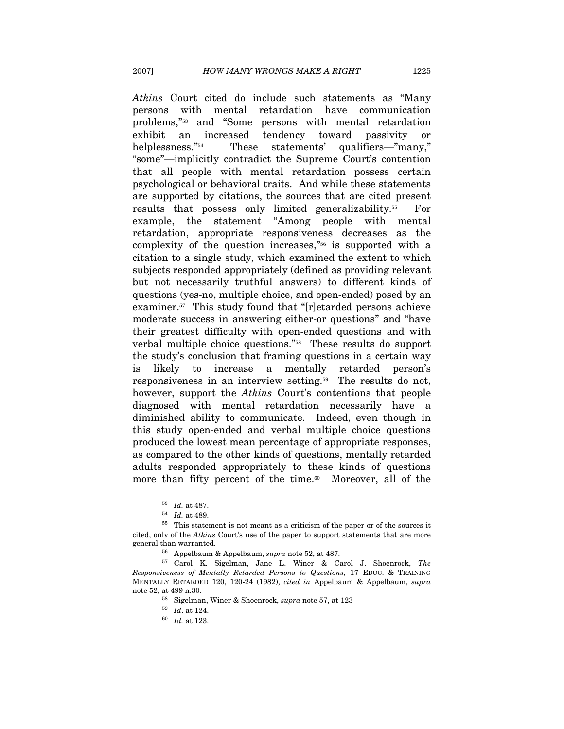Atkins Court cited do include such statements as "Many persons with mental retardation have communication problems,"53 and "Some persons with mental retardation exhibit an increased tendency toward passivity or helplessness."54 These statements' qualifiers—"many," "some"—implicitly contradict the Supreme Court's contention that all people with mental retardation possess certain psychological or behavioral traits. And while these statements are supported by citations, the sources that are cited present results that possess only limited generalizability.55 For example, the statement "Among people with mental retardation, appropriate responsiveness decreases as the complexity of the question increases,"56 is supported with a citation to a single study, which examined the extent to which subjects responded appropriately (defined as providing relevant but not necessarily truthful answers) to different kinds of questions (yes-no, multiple choice, and open-ended) posed by an examiner.<sup>57</sup> This study found that "[r]etarded persons achieve moderate success in answering either-or questions" and "have their greatest difficulty with open-ended questions and with verbal multiple choice questions."58 These results do support the study's conclusion that framing questions in a certain way is likely to increase a mentally retarded person's responsiveness in an interview setting.<sup>59</sup> The results do not, however, support the *Atkins* Court's contentions that people diagnosed with mental retardation necessarily have a diminished ability to communicate. Indeed, even though in this study open-ended and verbal multiple choice questions produced the lowest mean percentage of appropriate responses, as compared to the other kinds of questions, mentally retarded adults responded appropriately to these kinds of questions more than fifty percent of the time. $60$  Moreover, all of the

 $\begin{array}{cc} 53 & Id. \text{ at } 487. \\ 54 & Id. \text{ at } 489. \end{array}$ 

 $55$  This statement is not meant as a criticism of the paper or of the sources it cited, only of the Atkins Court's use of the paper to support statements that are more

general than warranted.<br><sup>56</sup> Appelbaum & Appelbaum, supra note 52, at 487.<br><sup>57</sup> Carol K. Sigelman, Jane L. Winer & Carol J. Shoenrock, *The* Responsiveness of Mentally Retarded Persons to Questions, 17 EDUC. & TRAINING MENTALLY RETARDED 120, 120-24 (1982), cited in Appelbaum & Appelbaum, supra note 52, at 499 n.30.<br>
<sup>58</sup> Sigelman, Winer & Shoenrock, *supra* note 57, at 123<br>
<sup>59</sup> Id. at 124.<br>
<sup>60</sup> Id. at 123.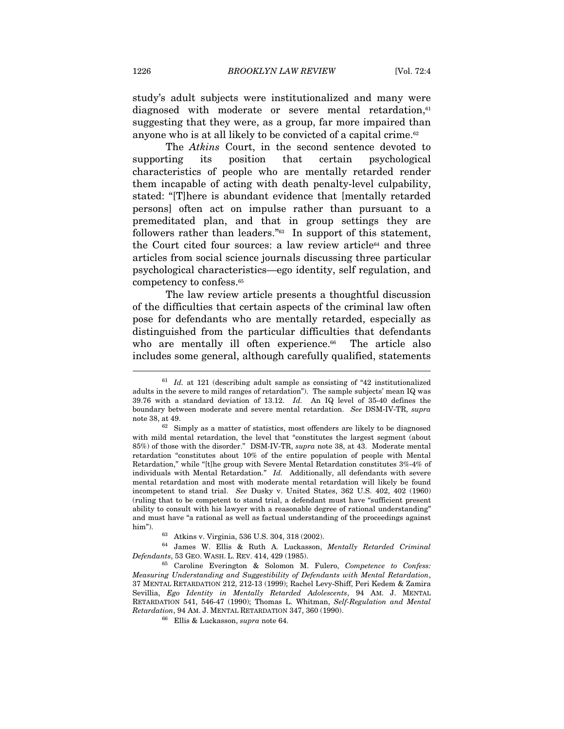study's adult subjects were institutionalized and many were diagnosed with moderate or severe mental retardation,<sup>61</sup> suggesting that they were, as a group, far more impaired than anyone who is at all likely to be convicted of a capital crime.62

The Atkins Court, in the second sentence devoted to supporting its position that certain psychological characteristics of people who are mentally retarded render them incapable of acting with death penalty-level culpability, stated: "[T]here is abundant evidence that [mentally retarded persons] often act on impulse rather than pursuant to a premeditated plan, and that in group settings they are followers rather than leaders."<sup>63</sup> In support of this statement, the Court cited four sources: a law review article<sup>64</sup> and three articles from social science journals discussing three particular psychological characteristics—ego identity, self regulation, and competency to confess.65

The law review article presents a thoughtful discussion of the difficulties that certain aspects of the criminal law often pose for defendants who are mentally retarded, especially as distinguished from the particular difficulties that defendants who are mentally ill often experience.<sup>66</sup> The article also includes some general, although carefully qualified, statements  $\overline{a}$ 

 $61$  Id. at 121 (describing adult sample as consisting of "42 institutionalized adults in the severe to mild ranges of retardation"). The sample subjects' mean IQ was 39.76 with a standard deviation of 13.12. Id. An IQ level of 35-40 defines the boundary between moderate and severe mental retardation. See DSM-IV-TR, supra

note 38, at 49.<br><sup>62</sup> Simply as a matter of statistics, most offenders are likely to be diagnosed with mild mental retardation, the level that "constitutes the largest segment (about 85%) of those with the disorder." DSM-IV-TR, supra note 38, at 43. Moderate mental retardation "constitutes about 10% of the entire population of people with Mental Retardation," while "[t]he group with Severe Mental Retardation constitutes 3%-4% of individuals with Mental Retardation."  $Id.$  Additionally, all defendants with severe mental retardation and most with moderate mental retardation will likely be found incompetent to stand trial. See Dusky v. United States, 362 U.S. 402, 402 (1960) (ruling that to be competent to stand trial, a defendant must have "sufficient present ability to consult with his lawyer with a reasonable degree of rational understanding" and must have "a rational as well as factual understanding of the proceedings against

him").  $63$  Atkins v. Virginia, 536 U.S. 304, 318 (2002).  $64$  James W. Ellis & Ruth A. Luckasson, Mentally Retarded Criminal Defendants, 53 GEO. WASH. L. REV. 414, 429 (1985).

 $65$  Caroline Everington & Solomon M. Fulero, Competence to Confess: Measuring Understanding and Suggestibility of Defendants with Mental Retardation, 37 MENTAL RETARDATION 212, 212-13 (1999); Rachel Levy-Shiff, Peri Kedem & Zamira Sevillia, Ego Identity in Mentally Retarded Adolescents, 94 AM. J. MENTAL RETARDATION 541, 546-47 (1990); Thomas L. Whitman, Self-Regulation and Mental  $Retardation, 94 \, \text{AM. J. MENTAL RETARDATION 347, 360 \, (1990). \label{eq:66}$   $^{66}$  Ellis & Luckasson,<br>  $supra$  note 64.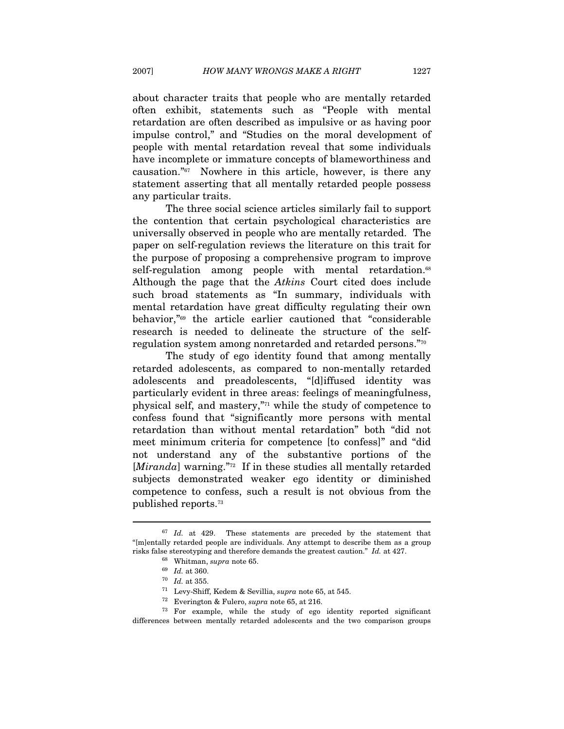about character traits that people who are mentally retarded often exhibit, statements such as "People with mental retardation are often described as impulsive or as having poor impulse control," and "Studies on the moral development of people with mental retardation reveal that some individuals have incomplete or immature concepts of blameworthiness and causation."67 Nowhere in this article, however, is there any statement asserting that all mentally retarded people possess any particular traits.

The three social science articles similarly fail to support the contention that certain psychological characteristics are universally observed in people who are mentally retarded. The paper on self-regulation reviews the literature on this trait for the purpose of proposing a comprehensive program to improve self-regulation among people with mental retardation.<sup>68</sup> Although the page that the Atkins Court cited does include such broad statements as "In summary, individuals with mental retardation have great difficulty regulating their own behavior,"69 the article earlier cautioned that "considerable research is needed to delineate the structure of the selfregulation system among nonretarded and retarded persons."70

The study of ego identity found that among mentally retarded adolescents, as compared to non-mentally retarded adolescents and preadolescents, "[d]iffused identity was particularly evident in three areas: feelings of meaningfulness, physical self, and mastery,"71 while the study of competence to confess found that "significantly more persons with mental retardation than without mental retardation" both "did not meet minimum criteria for competence [to confess]" and "did not understand any of the substantive portions of the [Miranda] warning." $72$  If in these studies all mentally retarded subjects demonstrated weaker ego identity or diminished competence to confess, such a result is not obvious from the published reports.73

 $67$  *Id.* at 429. These statements are preceded by the statement that "[m]entally retarded people are individuals. Any attempt to describe them as a group risks false stereotyping and therefore demands the greatest caution." *Id.* at 427.<br>
<sup>68</sup> Whitman, *supra* note 65.<br>
<sup>69</sup> *Id.* at 360.<br>
<sup>70</sup> *Id.* at 355.<br>
<sup>71</sup> Levy-Shiff, Kedem & Sevillia, *supra* note 65, at 545.<br>
<sup>72</sup>

differences between mentally retarded adolescents and the two comparison groups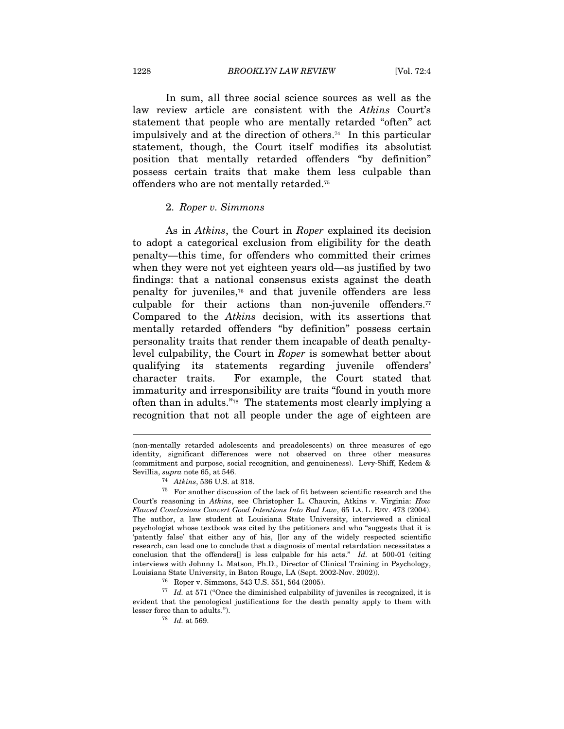In sum, all three social science sources as well as the law review article are consistent with the Atkins Court's statement that people who are mentally retarded "often" act impulsively and at the direction of others.74 In this particular statement, though, the Court itself modifies its absolutist position that mentally retarded offenders "by definition" possess certain traits that make them less culpable than offenders who are not mentally retarded.75

#### 2. Roper v. Simmons

As in Atkins, the Court in Roper explained its decision to adopt a categorical exclusion from eligibility for the death penalty—this time, for offenders who committed their crimes when they were not yet eighteen years old—as justified by two findings: that a national consensus exists against the death penalty for juveniles,76 and that juvenile offenders are less culpable for their actions than non-juvenile offenders. $77$ Compared to the Atkins decision, with its assertions that mentally retarded offenders "by definition" possess certain personality traits that render them incapable of death penaltylevel culpability, the Court in Roper is somewhat better about qualifying its statements regarding juvenile offenders' character traits. For example, the Court stated that immaturity and irresponsibility are traits "found in youth more often than in adults."78 The statements most clearly implying a recognition that not all people under the age of eighteen are

<sup>(</sup>non-mentally retarded adolescents and preadolescents) on three measures of ego identity, significant differences were not observed on three other measures (commitment and purpose, social recognition, and genuineness). Levy-Shiff, Kedem & Sevillia, *supra* note 65, at 546.<br><sup>74</sup> Atkins, 536 U.S. at 318.<br><sup>75</sup> For another discussion of the lack of fit between scientific research and the

Court's reasoning in Atkins, see Christopher L. Chauvin, Atkins v. Virginia: How Flawed Conclusions Convert Good Intentions Into Bad Law, 65 LA. L. REV. 473 (2004). The author, a law student at Louisiana State University, interviewed a clinical psychologist whose textbook was cited by the petitioners and who "suggests that it is 'patently false' that either any of his, []or any of the widely respected scientific research, can lead one to conclude that a diagnosis of mental retardation necessitates a conclusion that the offenders[] is less culpable for his acts." Id. at 500-01 (citing interviews with Johnny L. Matson, Ph.D., Director of Clinical Training in Psychology, Louisiana State University, in Baton Rouge, LA (Sept. 2002-Nov. 2002)).  $^{76}\,$  Roper v. Simmons, 543 U.S. 551, 564 (2005).

 $77$  Id. at 571 ("Once the diminished culpability of juveniles is recognized, it is evident that the penological justifications for the death penalty apply to them with % lesser force than to adults.").  $$^{78}\,$   $Id.$  at 569.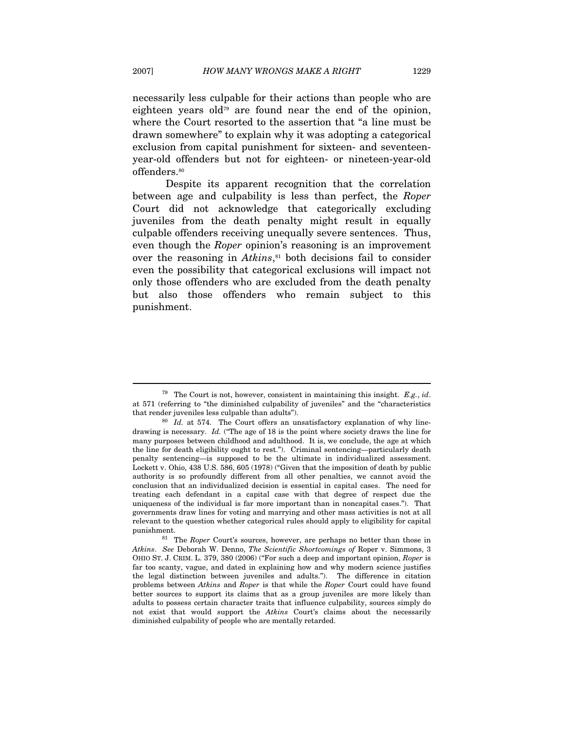necessarily less culpable for their actions than people who are eighteen years old<sup>79</sup> are found near the end of the opinion, where the Court resorted to the assertion that "a line must be drawn somewhere" to explain why it was adopting a categorical exclusion from capital punishment for sixteen- and seventeenyear-old offenders but not for eighteen- or nineteen-year-old offenders.80

Despite its apparent recognition that the correlation between age and culpability is less than perfect, the Roper Court did not acknowledge that categorically excluding juveniles from the death penalty might result in equally culpable offenders receiving unequally severe sentences. Thus, even though the Roper opinion's reasoning is an improvement over the reasoning in  $Atkins$ , $s<sup>1</sup>$  both decisions fail to consider even the possibility that categorical exclusions will impact not only those offenders who are excluded from the death penalty but also those offenders who remain subject to this punishment.

<sup>&</sup>lt;sup>79</sup> The Court is not, however, consistent in maintaining this insight. *E.g.*, *id.* at 571 (referring to "the diminished culpability of juveniles" and the "characteristics that render juveniles less culpable than adults").<br><sup>80</sup> Id. at 574. The Court offers an unsatisfactory explanation of why line-

drawing is necessary. Id. ("The age of 18 is the point where society draws the line for many purposes between childhood and adulthood. It is, we conclude, the age at which the line for death eligibility ought to rest."). Criminal sentencing—particularly death penalty sentencing—is supposed to be the ultimate in individualized assessment. Lockett v. Ohio, 438 U.S. 586, 605 (1978) ("Given that the imposition of death by public authority is so profoundly different from all other penalties, we cannot avoid the conclusion that an individualized decision is essential in capital cases. The need for treating each defendant in a capital case with that degree of respect due the uniqueness of the individual is far more important than in noncapital cases."). That governments draw lines for voting and marrying and other mass activities is not at all relevant to the question whether categorical rules should apply to eligibility for capital

 $81$  The Roper Court's sources, however, are perhaps no better than those in Atkins. See Deborah W. Denno, The Scientific Shortcomings of Roper v. Simmons, 3 OHIO ST. J. CRIM. L. 379, 380 (2006) ("For such a deep and important opinion, Roper is far too scanty, vague, and dated in explaining how and why modern science justifies the legal distinction between juveniles and adults."). The difference in citation problems between Atkins and Roper is that while the Roper Court could have found better sources to support its claims that as a group juveniles are more likely than adults to possess certain character traits that influence culpability, sources simply do not exist that would support the Atkins Court's claims about the necessarily diminished culpability of people who are mentally retarded.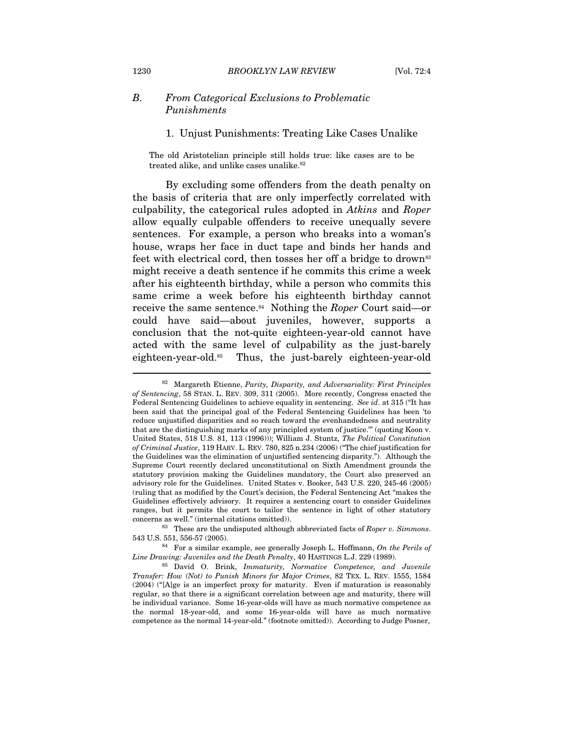#### B. From Categorical Exclusions to Problematic Punishments

#### 1. Unjust Punishments: Treating Like Cases Unalike

The old Aristotelian principle still holds true: like cases are to be treated alike, and unlike cases unalike.<sup>82</sup>

By excluding some offenders from the death penalty on the basis of criteria that are only imperfectly correlated with culpability, the categorical rules adopted in Atkins and Roper allow equally culpable offenders to receive unequally severe sentences. For example, a person who breaks into a woman's house, wraps her face in duct tape and binds her hands and feet with electrical cord, then tosses her off a bridge to drown<sup>83</sup> might receive a death sentence if he commits this crime a week after his eighteenth birthday, while a person who commits this same crime a week before his eighteenth birthday cannot receive the same sentence.<sup>84</sup> Nothing the *Roper* Court said—or could have said—about juveniles, however, supports a conclusion that the not-quite eighteen-year-old cannot have acted with the same level of culpability as the just-barely eighteen-year-old.85 Thus, the just-barely eighteen-year-old

<sup>82</sup> Margareth Etienne, Parity, Disparity, and Adversariality: First Principles of Sentencing, 58 STAN. L. REV. 309, 311 (2005). More recently, Congress enacted the Federal Sentencing Guidelines to achieve equality in sentencing. See id. at 315 ("It has been said that the principal goal of the Federal Sentencing Guidelines has been 'to reduce unjustified disparities and so reach toward the evenhandedness and neutrality that are the distinguishing marks of any principled system of justice.'" (quoting Koon v. United States, 518 U.S. 81, 113 (1996))); William J. Stuntz, The Political Constitution of Criminal Justice, 119 HARV. L. REV. 780, 825 n.234 (2006) ("The chief justification for the Guidelines was the elimination of unjustified sentencing disparity."). Although the Supreme Court recently declared unconstitutional on Sixth Amendment grounds the statutory provision making the Guidelines mandatory, the Court also preserved an advisory role for the Guidelines. United States v. Booker, 543 U.S. 220, 245-46 (2005) (ruling that as modified by the Court's decision, the Federal Sentencing Act "makes the Guidelines effectively advisory. It requires a sentencing court to consider Guidelines ranges, but it permits the court to tailor the sentence in light of other statutory concerns as well." (internal citations omitted)).<br><sup>83</sup> These are the undisputed although abbreviated facts of *Roper v. Simmons*.

<sup>543</sup> U.S. 551, 556-57 (2005).<br><sup>84</sup> For a similar example, see generally Joseph L. Hoffmann, *On the Perils of Line Drawing: Juveniles and the Death Penalty*, 40 HASTINGS L.J. 229 (1989).

 $85$  David O. Brink, Immaturity, Normative Competence, and Juvenile Transfer: How (Not) to Punish Minors for Major Crimes, 82 TEX. L. REV. 1555, 1584 (2004) ("[A]ge is an imperfect proxy for maturity. Even if maturation is reasonably regular, so that there is a significant correlation between age and maturity, there will be individual variance. Some 16-year-olds will have as much normative competence as the normal 18-year-old, and some 16-year-olds will have as much normative competence as the normal 14-year-old." (footnote omitted)). According to Judge Posner,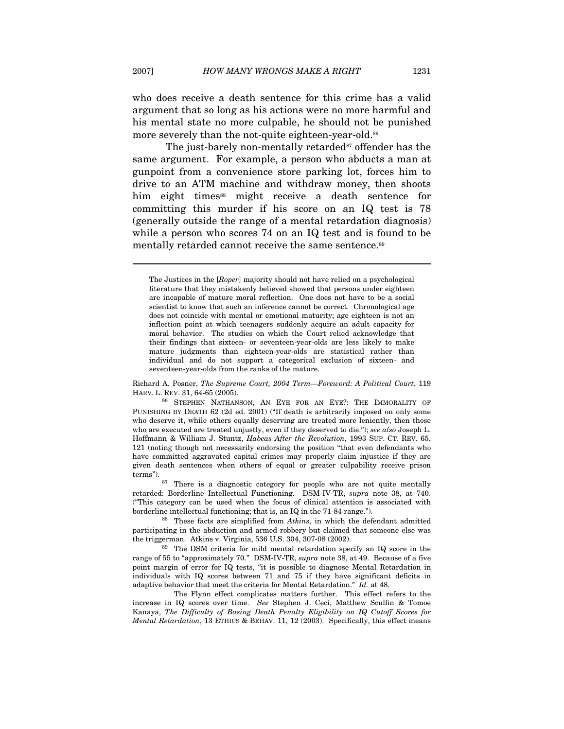who does receive a death sentence for this crime has a valid argument that so long as his actions were no more harmful and his mental state no more culpable, he should not be punished more severely than the not-quite eighteen-year-old.<sup>86</sup>

The just-barely non-mentally retarded $87$  offender has the same argument. For example, a person who abducts a man at gunpoint from a convenience store parking lot, forces him to drive to an ATM machine and withdraw money, then shoots him eight times<sup>88</sup> might receive a death sentence for committing this murder if his score on an IQ test is 78 (generally outside the range of a mental retardation diagnosis) while a person who scores 74 on an IQ test and is found to be mentally retarded cannot receive the same sentence.<sup>89</sup>

Richard A. Posner, The Supreme Court, 2004 Term—Foreword: A Political Court, 119

HARV. L. REV. 31, 64-65 (2005). 86 STEPHEN NATHANSON, AN EYE FOR AN EYE?: THE IMMORALITY OF PUNISHING BY DEATH 62 (2d ed. 2001) ("If death is arbitrarily imposed on only some who deserve it, while others equally deserving are treated more leniently, then those who are executed are treated unjustly, even if they deserved to die."); see also Joseph L. Hoffmann & William J. Stuntz, Habeas After the Revolution, 1993 SUP. CT. REV. 65, 121 (noting though not necessarily endorsing the position "that even defendants who have committed aggravated capital crimes may properly claim injustice if they are given death sentences when others of equal or greater culpability receive prison

terms"). 87 There is a diagnostic category for people who are not quite mentally retarded: Borderline Intellectual Functioning. DSM-IV-TR, supra note 38, at 740. ("This category can be used when the focus of clinical attention is associated with borderline intellectual functioning; that is, an IQ in the 71-84 range.").<br><sup>88</sup> These facts are simplified from *Atkins*, in which the defendant admitted

participating in the abduction and armed robbery but claimed that someone else was the triggerman. Atkins v. Virginia, 536 U.S. 304, 307-08 (2002).<br><sup>89</sup> The DSM criteria for mild mental retardation specify an IQ score in the

range of 55 to "approximately 70." DSM-IV-TR, supra note 38, at 49. Because of a five point margin of error for IQ tests, "it is possible to diagnose Mental Retardation in individuals with IQ scores between 71 and 75 if they have significant deficits in adaptive behavior that meet the criteria for Mental Retardation." Id. at 48.

 The Flynn effect complicates matters further. This effect refers to the increase in IQ scores over time. See Stephen J. Ceci, Matthew Scullin & Tomoe Kanaya, The Difficulty of Basing Death Penalty Eligibility on IQ Cutoff Scores for Mental Retardation, 13 ETHICS & BEHAV. 11, 12 (2003). Specifically, this effect means

The Justices in the [Roper] majority should not have relied on a psychological literature that they mistakenly believed showed that persons under eighteen are incapable of mature moral reflection. One does not have to be a social scientist to know that such an inference cannot be correct. Chronological age does not coincide with mental or emotional maturity; age eighteen is not an inflection point at which teenagers suddenly acquire an adult capacity for moral behavior. The studies on which the Court relied acknowledge that their findings that sixteen- or seventeen-year-olds are less likely to make mature judgments than eighteen-year-olds are statistical rather than individual and do not support a categorical exclusion of sixteen- and seventeen-year-olds from the ranks of the mature.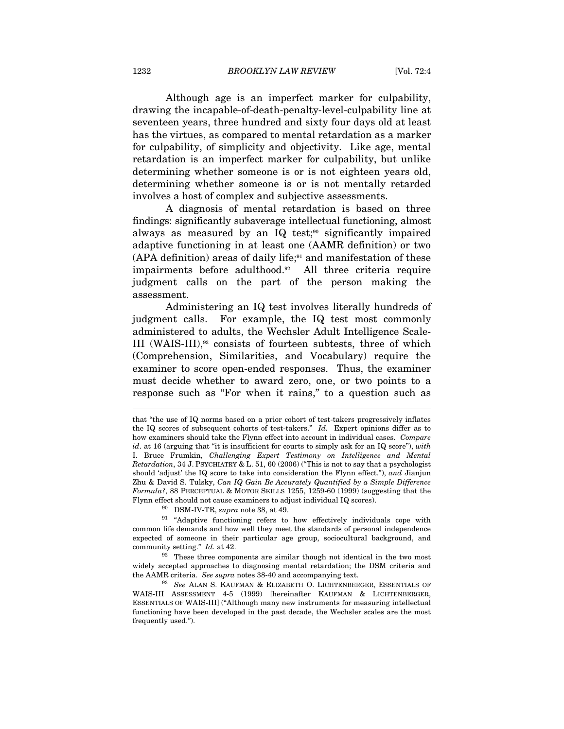Although age is an imperfect marker for culpability, drawing the incapable-of-death-penalty-level-culpability line at seventeen years, three hundred and sixty four days old at least has the virtues, as compared to mental retardation as a marker for culpability, of simplicity and objectivity. Like age, mental retardation is an imperfect marker for culpability, but unlike determining whether someone is or is not eighteen years old, determining whether someone is or is not mentally retarded involves a host of complex and subjective assessments.

A diagnosis of mental retardation is based on three findings: significantly subaverage intellectual functioning, almost always as measured by an IQ test;<sup>90</sup> significantly impaired adaptive functioning in at least one (AAMR definition) or two  $(APA definition)$  areas of daily life;<sup>91</sup> and manifestation of these impairments before adulthood.92 All three criteria require judgment calls on the part of the person making the assessment.

Administering an IQ test involves literally hundreds of judgment calls. For example, the IQ test most commonly administered to adults, the Wechsler Adult Intelligence Scale-III (WAIS-III),93 consists of fourteen subtests, three of which (Comprehension, Similarities, and Vocabulary) require the examiner to score open-ended responses. Thus, the examiner must decide whether to award zero, one, or two points to a response such as "For when it rains," to a question such as

that "the use of IQ norms based on a prior cohort of test-takers progressively inflates the IQ scores of subsequent cohorts of test-takers." Id. Expert opinions differ as to how examiners should take the Flynn effect into account in individual cases. Compare id. at 16 (arguing that "it is insufficient for courts to simply ask for an IQ score"), with I. Bruce Frumkin, Challenging Expert Testimony on Intelligence and Mental Retardation, 34 J. PSYCHIATRY & L. 51, 60 (2006) ("This is not to say that a psychologist should 'adjust' the IQ score to take into consideration the Flynn effect."), and Jianjun Zhu & David S. Tulsky, Can IQ Gain Be Accurately Quantified by a Simple Difference  $Formula$ ?, 88 PERCEPTUAL & MOTOR SKILLS 1255, 1259-60 (1999) (suggesting that the Flynn effect should not cause examiners to adjust individual IQ scores). 90 DSM-IV-TR, supra note 38, at 49.

<sup>&</sup>lt;sup>91</sup> "Adaptive functioning refers to how effectively individuals cope with common life demands and how well they meet the standards of personal independence expected of someone in their particular age group, sociocultural background, and community setting." Id. at 42.<br><sup>92</sup> These three components are similar though not identical in the two most

widely accepted approaches to diagnosing mental retardation; the DSM criteria and the AAMR criteria. See supra notes 38-40 and accompanying text.<br><sup>93</sup> See ALAN S. KAUFMAN & ELIZABETH O. LICHTENBERGER, ESSENTIALS OF

WAIS-III ASSESSMENT 4-5 (1999) [hereinafter KAUFMAN & LICHTENBERGER, ESSENTIALS OF WAIS-III] ("Although many new instruments for measuring intellectual functioning have been developed in the past decade, the Wechsler scales are the most frequently used.").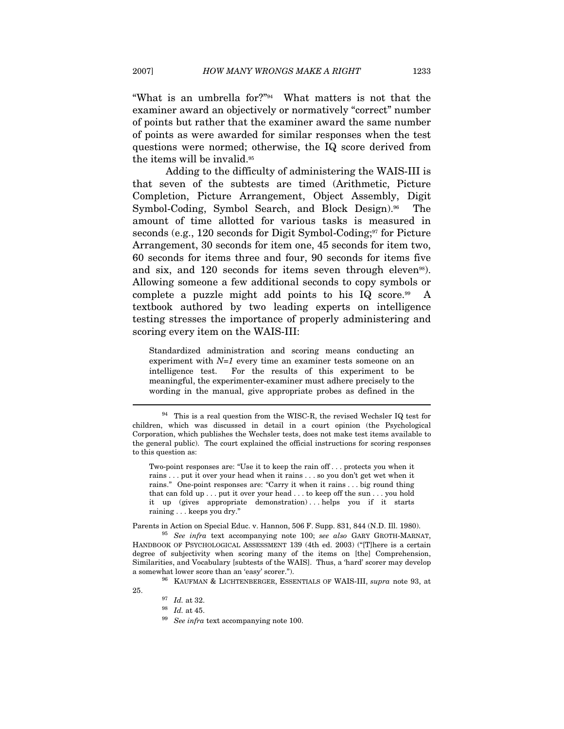"What is an umbrella for?"94 What matters is not that the examiner award an objectively or normatively "correct" number of points but rather that the examiner award the same number of points as were awarded for similar responses when the test questions were normed; otherwise, the IQ score derived from the items will be invalid.<sup>95</sup>

Adding to the difficulty of administering the WAIS-III is that seven of the subtests are timed (Arithmetic, Picture Completion, Picture Arrangement, Object Assembly, Digit Symbol-Coding, Symbol Search, and Block Design).<sup>96</sup> The amount of time allotted for various tasks is measured in seconds (e.g., 120 seconds for Digit Symbol-Coding; $\mathfrak{I}$  for Picture Arrangement, 30 seconds for item one, 45 seconds for item two, 60 seconds for items three and four, 90 seconds for items five and six, and 120 seconds for items seven through eleven<sup>98</sup>). Allowing someone a few additional seconds to copy symbols or complete a puzzle might add points to his IQ score.<sup>99</sup> A textbook authored by two leading experts on intelligence testing stresses the importance of properly administering and scoring every item on the WAIS-III:

Standardized administration and scoring means conducting an experiment with  $N=1$  every time an examiner tests someone on an intelligence test. For the results of this experiment to be meaningful, the experimenter-examiner must adhere precisely to the wording in the manual, give appropriate probes as defined in the

Two-point responses are: "Use it to keep the rain off . . . protects you when it rains . . . put it over your head when it rains . . . so you don't get wet when it rains." One-point responses are: "Carry it when it rains . . . big round thing that can fold up . . . put it over your head . . . to keep off the sun . . . you hold it up (gives appropriate demonstration)...helps you if it starts raining . . . keeps you dry."

Parents in Action on Special Educ. v. Hannon, 506 F. Supp. 831, 844 (N.D. Ill. 1980). 95 See infra text accompanying note 100; see also GARY GROTH-MARNAT,

HANDBOOK OF PSYCHOLOGICAL ASSESSMENT 139 (4th ed. 2003) ("[T]here is a certain degree of subjectivity when scoring many of the items on [the] Comprehension, Similarities, and Vocabulary [subtests of the WAIS]. Thus, a 'hard' scorer may develop a somewhat lower score than an 'easy' scorer.").<br><sup>96</sup> KAUFMAN & LICHTENBERGER, ESSENTIALS OF WAIS-III, *supra* note 93, at

 $94$  This is a real question from the WISC-R, the revised Wechsler IQ test for children, which was discussed in detail in a court opinion (the Psychological Corporation, which publishes the Wechsler tests, does not make test items available to the general public). The court explained the official instructions for scoring responses to this question as:

<sup>25.</sup>  $^{97}$  *Id.* at 32.  $^{98}$  *Id.* at 45.  $^{99}$  *See infra text accompanying note 100.*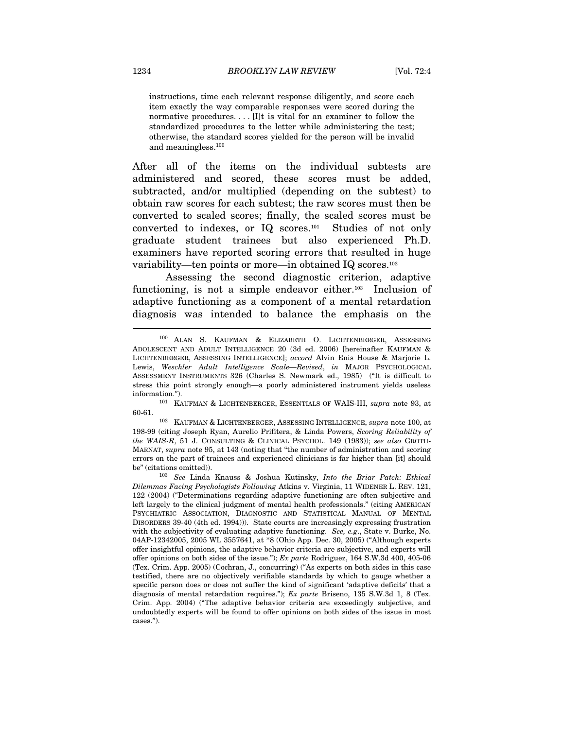instructions, time each relevant response diligently, and score each item exactly the way comparable responses were scored during the normative procedures. . . . [I]t is vital for an examiner to follow the standardized procedures to the letter while administering the test; otherwise, the standard scores yielded for the person will be invalid and meaningless.100

After all of the items on the individual subtests are administered and scored, these scores must be added, subtracted, and/or multiplied (depending on the subtest) to obtain raw scores for each subtest; the raw scores must then be converted to scaled scores; finally, the scaled scores must be converted to indexes, or IQ scores.101 Studies of not only graduate student trainees but also experienced Ph.D. examiners have reported scoring errors that resulted in huge variability—ten points or more—in obtained IQ scores.102

Assessing the second diagnostic criterion, adaptive functioning, is not a simple endeavor either.<sup>103</sup> Inclusion of adaptive functioning as a component of a mental retardation diagnosis was intended to balance the emphasis on the  $\overline{a}$ 

60-61. 102 KAUFMAN & LICHTENBERGER, ASSESSING INTELLIGENCE, supra note 100, at

198-99 (citing Joseph Ryan, Aurelio Prifitera, & Linda Powers, Scoring Reliability of the WAIS-R, 51 J. CONSULTING & CLINICAL PSYCHOL. 149 (1983)); see also GROTH-MARNAT, supra note 95, at 143 (noting that "the number of administration and scoring errors on the part of trainees and experienced clinicians is far higher than [it] should

<sup>100</sup> ALAN S. KAUFMAN & ELIZABETH O. LICHTENBERGER, ASSESSING ADOLESCENT AND ADULT INTELLIGENCE 20 (3d ed. 2006) [hereinafter KAUFMAN & LICHTENBERGER, ASSESSING INTELLIGENCE]; accord Alvin Enis House & Marjorie L. Lewis, Weschler Adult Intelligence Scale—Revised, in MAJOR PSYCHOLOGICAL ASSESSMENT INSTRUMENTS 326 (Charles S. Newmark ed., 1985) ("It is difficult to stress this point strongly enough—a poorly administered instrument yields useless information."). 101 KAUFMAN & LICHTENBERGER, ESSENTIALS OF WAIS-III, *supra* note 93, at

be" (citations omitted)). 103 See Linda Knauss & Joshua Kutinsky, Into the Briar Patch: Ethical Dilemmas Facing Psychologists Following Atkins v. Virginia, 11 WIDENER L. REV. 121, 122 (2004) ("Determinations regarding adaptive functioning are often subjective and left largely to the clinical judgment of mental health professionals." (citing AMERICAN PSYCHIATRIC ASSOCIATION, DIAGNOSTIC AND STATISTICAL MANUAL OF MENTAL DISORDERS 39-40 (4th ed. 1994))). State courts are increasingly expressing frustration with the subjectivity of evaluating adaptive functioning. See, e.g., State v. Burke, No. 04AP-12342005, 2005 WL 3557641, at \*8 (Ohio App. Dec. 30, 2005) ("Although experts offer insightful opinions, the adaptive behavior criteria are subjective, and experts will offer opinions on both sides of the issue."); Ex parte Rodriguez, 164 S.W.3d 400, 405-06 (Tex. Crim. App. 2005) (Cochran, J., concurring) ("As experts on both sides in this case testified, there are no objectively verifiable standards by which to gauge whether a specific person does or does not suffer the kind of significant 'adaptive deficits' that a diagnosis of mental retardation requires."); Ex parte Briseno, 135 S.W.3d 1, 8 (Tex. Crim. App. 2004) ("The adaptive behavior criteria are exceedingly subjective, and undoubtedly experts will be found to offer opinions on both sides of the issue in most cases.").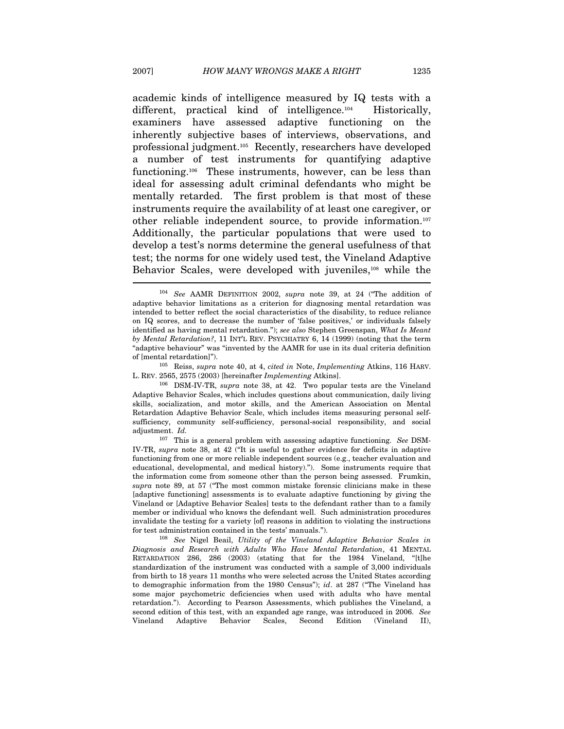academic kinds of intelligence measured by IQ tests with a different, practical kind of intelligence.<sup>104</sup> Historically, examiners have assessed adaptive functioning on the inherently subjective bases of interviews, observations, and professional judgment.105 Recently, researchers have developed a number of test instruments for quantifying adaptive functioning.106 These instruments, however, can be less than ideal for assessing adult criminal defendants who might be mentally retarded. The first problem is that most of these instruments require the availability of at least one caregiver, or other reliable independent source, to provide information.107 Additionally, the particular populations that were used to develop a test's norms determine the general usefulness of that test; the norms for one widely used test, the Vineland Adaptive Behavior Scales, were developed with juveniles,108 while the

of [mental retardation]").<br><sup>105</sup> Reiss, *supra* note 40, at 4, *cited in* Note, *Implementing* Atkins, 116 HARV.

<sup>&</sup>lt;sup>104</sup> See AAMR DEFINITION 2002, supra note 39, at 24 ("The addition of adaptive behavior limitations as a criterion for diagnosing mental retardation was intended to better reflect the social characteristics of the disability, to reduce reliance on IQ scores, and to decrease the number of 'false positives,' or individuals falsely identified as having mental retardation."); see also Stephen Greenspan, What Is Meant by Mental Retardation?, 11 INT'L REV. PSYCHIATRY 6, 14 (1999) (noting that the term "adaptive behaviour" was "invented by the AAMR for use in its dual criteria definition

L. REV. 2565, 2575 (2003) [hereinafter Implementing Atkins]. 106 DSM-IV-TR, supra note 38, at 42. Two popular tests are the Vineland Adaptive Behavior Scales, which includes questions about communication, daily living skills, socialization, and motor skills, and the American Association on Mental Retardation Adaptive Behavior Scale, which includes items measuring personal selfsufficiency, community self-sufficiency, personal-social responsibility, and social adjustment. Id.

 $107$  This is a general problem with assessing adaptive functioning. See DSM-IV-TR, supra note 38, at 42 ("It is useful to gather evidence for deficits in adaptive functioning from one or more reliable independent sources (e.g., teacher evaluation and educational, developmental, and medical history)."). Some instruments require that the information come from someone other than the person being assessed. Frumkin, supra note 89, at 57 ("The most common mistake forensic clinicians make in these [adaptive functioning] assessments is to evaluate adaptive functioning by giving the Vineland or [Adaptive Behavior Scales] tests to the defendant rather than to a family member or individual who knows the defendant well. Such administration procedures invalidate the testing for a variety [of] reasons in addition to violating the instructions for test administration contained in the tests' manuals.").<br><sup>108</sup> See Nigel Beail, Utility of the Vineland Adaptive Behavior Scales in

Diagnosis and Research with Adults Who Have Mental Retardation, 41 MENTAL RETARDATION 286, 286 (2003) (stating that for the 1984 Vineland, "[t]he standardization of the instrument was conducted with a sample of 3,000 individuals from birth to 18 years 11 months who were selected across the United States according to demographic information from the 1980 Census"); id. at 287 ("The Vineland has some major psychometric deficiencies when used with adults who have mental retardation."). According to Pearson Assessments, which publishes the Vineland, a second edition of this test, with an expanded age range, was introduced in 2006. See Vineland Adaptive Behavior Scales, Second Edition (Vineland II),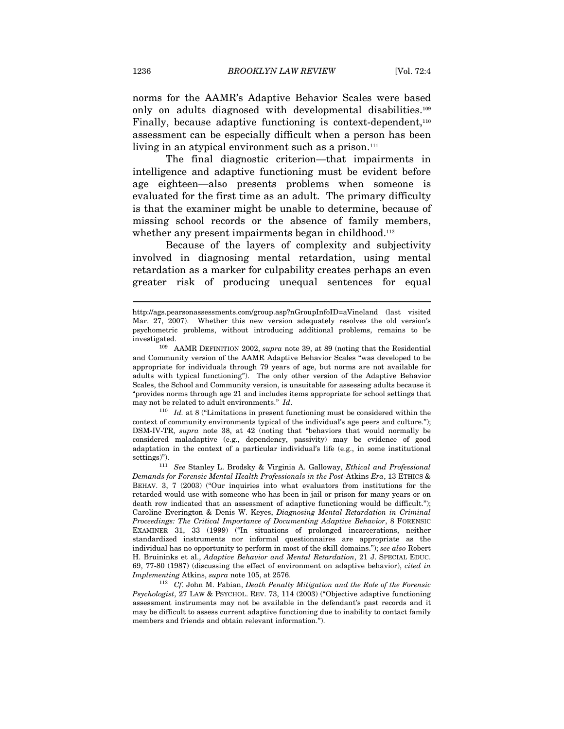norms for the AAMR's Adaptive Behavior Scales were based only on adults diagnosed with developmental disabilities.109 Finally, because adaptive functioning is context-dependent,<sup>110</sup> assessment can be especially difficult when a person has been living in an atypical environment such as a prison.<sup>111</sup>

The final diagnostic criterion—that impairments in intelligence and adaptive functioning must be evident before age eighteen—also presents problems when someone is evaluated for the first time as an adult. The primary difficulty is that the examiner might be unable to determine, because of missing school records or the absence of family members, whether any present impairments began in childhood.<sup>112</sup>

Because of the layers of complexity and subjectivity involved in diagnosing mental retardation, using mental retardation as a marker for culpability creates perhaps an even greater risk of producing unequal sentences for equal

may not be related to adult environments." Id.<br> $110$  Id. at 8 ("Limitations in present functioning must be considered within the context of community environments typical of the individual's age peers and culture."); DSM-IV-TR, supra note 38, at 42 (noting that "behaviors that would normally be considered maladaptive (e.g., dependency, passivity) may be evidence of good adaptation in the context of a particular individual's life (e.g., in some institutional settings)").<br><sup>111</sup> See Stanley L. Brodsky & Virginia A. Galloway, *Ethical and Professional* 

http://ags.pearsonassessments.com/group.asp?nGroupInfoID=aVineland (last visited Mar. 27, 2007). Whether this new version adequately resolves the old version's psychometric problems, without introducing additional problems, remains to be

investigated. 109 AAMR DEFINITION 2002, supra note 39, at 89 (noting that the Residential and Community version of the AAMR Adaptive Behavior Scales "was developed to be appropriate for individuals through 79 years of age, but norms are not available for adults with typical functioning"). The only other version of the Adaptive Behavior Scales, the School and Community version, is unsuitable for assessing adults because it "provides norms through age 21 and includes items appropriate for school settings that

Demands for Forensic Mental Health Professionals in the Post-Atkins Era, 13 ETHICS & BEHAV. 3, 7 (2003) ("Our inquiries into what evaluators from institutions for the retarded would use with someone who has been in jail or prison for many years or on death row indicated that an assessment of adaptive functioning would be difficult."); Caroline Everington & Denis W. Keyes, Diagnosing Mental Retardation in Criminal Proceedings: The Critical Importance of Documenting Adaptive Behavior, 8 FORENSIC EXAMINER 31, 33 (1999) ("In situations of prolonged incarcerations, neither standardized instruments nor informal questionnaires are appropriate as the individual has no opportunity to perform in most of the skill domains."); see also Robert H. Bruininks et al., Adaptive Behavior and Mental Retardation, 21 J. SPECIAL EDUC. 69, 77-80 (1987) (discussing the effect of environment on adaptive behavior), cited in Implementing Atkins, supra note 105, at 2576.<br><sup>112</sup> Cf. John M. Fabian, Death Penalty Mitigation and the Role of the Forensic

Psychologist, 27 LAW & PSYCHOL. REV. 73, 114 (2003) ("Objective adaptive functioning assessment instruments may not be available in the defendant's past records and it may be difficult to assess current adaptive functioning due to inability to contact family members and friends and obtain relevant information.").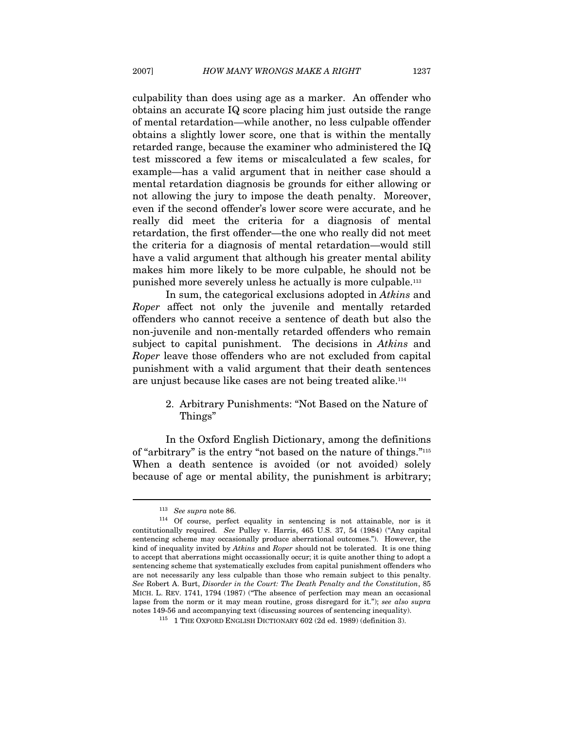culpability than does using age as a marker. An offender who obtains an accurate IQ score placing him just outside the range of mental retardation—while another, no less culpable offender obtains a slightly lower score, one that is within the mentally retarded range, because the examiner who administered the IQ test misscored a few items or miscalculated a few scales, for example—has a valid argument that in neither case should a mental retardation diagnosis be grounds for either allowing or not allowing the jury to impose the death penalty. Moreover, even if the second offender's lower score were accurate, and he really did meet the criteria for a diagnosis of mental retardation, the first offender—the one who really did not meet the criteria for a diagnosis of mental retardation—would still have a valid argument that although his greater mental ability makes him more likely to be more culpable, he should not be punished more severely unless he actually is more culpable.113

In sum, the categorical exclusions adopted in Atkins and Roper affect not only the juvenile and mentally retarded offenders who cannot receive a sentence of death but also the non-juvenile and non-mentally retarded offenders who remain subject to capital punishment. The decisions in Atkins and Roper leave those offenders who are not excluded from capital punishment with a valid argument that their death sentences are unjust because like cases are not being treated alike.114

#### 2. Arbitrary Punishments: "Not Based on the Nature of Things"

In the Oxford English Dictionary, among the definitions of "arbitrary" is the entry "not based on the nature of things."115 When a death sentence is avoided (or not avoided) solely because of age or mental ability, the punishment is arbitrary;

<sup>&</sup>lt;sup>113</sup> See supra note 86.  $\frac{114}{114}$  Of course, perfect equality in sentencing is not attainable, nor is it contitutionally required. See Pulley v. Harris, 465 U.S. 37, 54 (1984) ("Any capital sentencing scheme may occasionally produce aberrational outcomes."). However, the kind of inequality invited by Atkins and Roper should not be tolerated. It is one thing to accept that aberrations might occassionally occur; it is quite another thing to adopt a sentencing scheme that systematically excludes from capital punishment offenders who are not necessarily any less culpable than those who remain subject to this penalty. See Robert A. Burt, Disorder in the Court: The Death Penalty and the Constitution, 85 MICH. L. REV. 1741, 1794 (1987) ("The absence of perfection may mean an occasional lapse from the norm or it may mean routine, gross disregard for it."); see also supra notes 149-56 and accompanying text (discussing sources of sentencing inequality). 115 1 THE OXFORD ENGLISH DICTIONARY 602 (2d ed. 1989) (definition 3).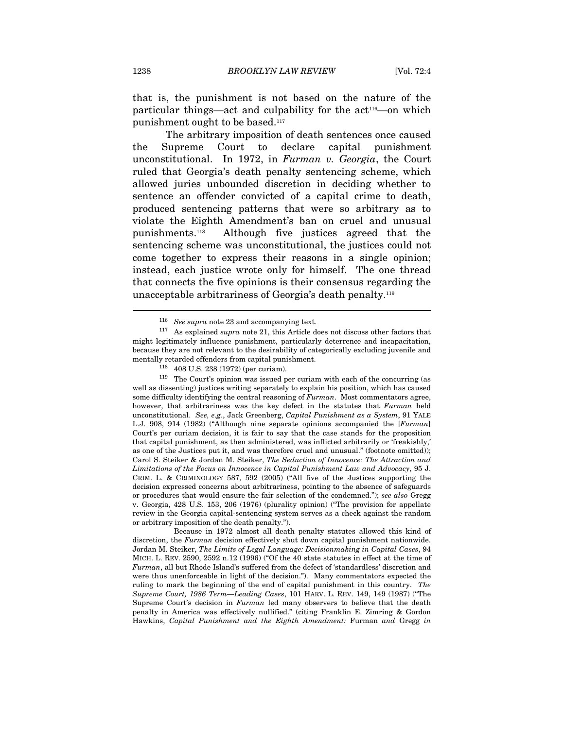that is, the punishment is not based on the nature of the particular things—act and culpability for the act<sup>116</sup>—on which punishment ought to be based.<sup>117</sup>

The arbitrary imposition of death sentences once caused the Supreme Court to declare capital punishment unconstitutional. In 1972, in Furman v. Georgia, the Court ruled that Georgia's death penalty sentencing scheme, which allowed juries unbounded discretion in deciding whether to sentence an offender convicted of a capital crime to death, produced sentencing patterns that were so arbitrary as to violate the Eighth Amendment's ban on cruel and unusual punishments.118 Although five justices agreed that the sentencing scheme was unconstitutional, the justices could not come together to express their reasons in a single opinion; instead, each justice wrote only for himself. The one thread that connects the five opinions is their consensus regarding the unacceptable arbitrariness of Georgia's death penalty.119

mentally retarded offenders from capital punishment.<br><sup>118</sup> 408 U.S. 238 (1972) (per curiam).<br><sup>119</sup> The Court's opinion was issued per curiam with each of the concurring (as well as dissenting) justices writing separately to explain his position, which has caused some difficulty identifying the central reasoning of Furman. Most commentators agree, however, that arbitrariness was the key defect in the statutes that Furman held unconstitutional. See, e.g., Jack Greenberg, Capital Punishment as a System, 91 YALE L.J. 908, 914 (1982) ("Although nine separate opinions accompanied the [Furman] Court's per curiam decision, it is fair to say that the case stands for the proposition that capital punishment, as then administered, was inflicted arbitrarily or 'freakishly,' as one of the Justices put it, and was therefore cruel and unusual." (footnote omitted)); Carol S. Steiker & Jordan M. Steiker, The Seduction of Innocence: The Attraction and Limitations of the Focus on Innocence in Capital Punishment Law and Advocacy, 95 J. CRIM. L. & CRIMINOLOGY 587, 592 (2005) ("All five of the Justices supporting the decision expressed concerns about arbitrariness, pointing to the absence of safeguards or procedures that would ensure the fair selection of the condemned."); see also Gregg v. Georgia, 428 U.S. 153, 206 (1976) (plurality opinion) ("The provision for appellate review in the Georgia capital-sentencing system serves as a check against the random or arbitrary imposition of the death penalty.").

 Because in 1972 almost all death penalty statutes allowed this kind of discretion, the Furman decision effectively shut down capital punishment nationwide. Jordan M. Steiker, The Limits of Legal Language: Decisionmaking in Capital Cases, 94 MICH. L. REV. 2590, 2592 n.12 (1996) ("Of the 40 state statutes in effect at the time of Furman, all but Rhode Island's suffered from the defect of 'standardless' discretion and were thus unenforceable in light of the decision."). Many commentators expected the ruling to mark the beginning of the end of capital punishment in this country. The Supreme Court, 1986 Term—Leading Cases, 101 HARV. L. REV. 149, 149 (1987) ("The Supreme Court's decision in Furman led many observers to believe that the death penalty in America was effectively nullified." (citing Franklin E. Zimring & Gordon Hawkins, Capital Punishment and the Eighth Amendment: Furman and Gregg in

<sup>116</sup> See supra note 23 and accompanying text.

 $117$  As explained *supra* note 21, this Article does not discuss other factors that might legitimately influence punishment, particularly deterrence and incapacitation, because they are not relevant to the desirability of categorically excluding juvenile and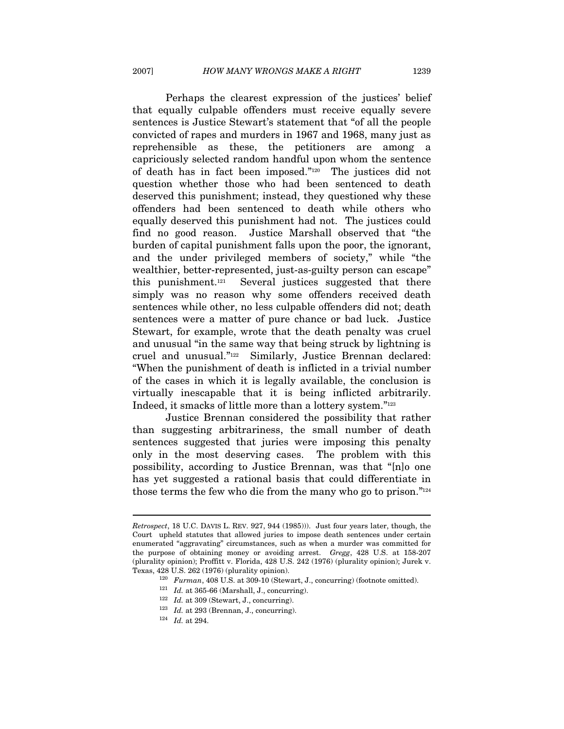Perhaps the clearest expression of the justices' belief that equally culpable offenders must receive equally severe sentences is Justice Stewart's statement that "of all the people convicted of rapes and murders in 1967 and 1968, many just as reprehensible as these, the petitioners are among a capriciously selected random handful upon whom the sentence of death has in fact been imposed."120 The justices did not question whether those who had been sentenced to death deserved this punishment; instead, they questioned why these offenders had been sentenced to death while others who equally deserved this punishment had not. The justices could find no good reason. Justice Marshall observed that "the burden of capital punishment falls upon the poor, the ignorant, and the under privileged members of society," while "the wealthier, better-represented, just-as-guilty person can escape" this punishment.121 Several justices suggested that there simply was no reason why some offenders received death sentences while other, no less culpable offenders did not; death sentences were a matter of pure chance or bad luck. Justice Stewart, for example, wrote that the death penalty was cruel and unusual "in the same way that being struck by lightning is cruel and unusual."122 Similarly, Justice Brennan declared: "When the punishment of death is inflicted in a trivial number of the cases in which it is legally available, the conclusion is virtually inescapable that it is being inflicted arbitrarily. Indeed, it smacks of little more than a lottery system."123

Justice Brennan considered the possibility that rather than suggesting arbitrariness, the small number of death sentences suggested that juries were imposing this penalty only in the most deserving cases. The problem with this possibility, according to Justice Brennan, was that "[n]o one has yet suggested a rational basis that could differentiate in those terms the few who die from the many who go to prison."124

Retrospect, 18 U.C. DAVIS L. REV. 927, 944 (1985))). Just four years later, though, the Court upheld statutes that allowed juries to impose death sentences under certain enumerated "aggravating" circumstances, such as when a murder was committed for the purpose of obtaining money or avoiding arrest. Gregg, 428 U.S. at 158-207 (plurality opinion); Proffitt v. Florida, 428 U.S. 242 (1976) (plurality opinion); Jurek v. Texas, 428 U.S. 262 (1976) (plurality opinion). 120 Furman, 408 U.S. at 309-10 (Stewart, J., concurring) (footnote omitted). 121 Id. at 365-66 (Marshall, J., concurring).

<sup>&</sup>lt;sup>122</sup> Id. at 309 (Stewart, J., concurring).<br><sup>123</sup> Id. at 293 (Brennan, J., concurring).<br><sup>124</sup> Id. at 294.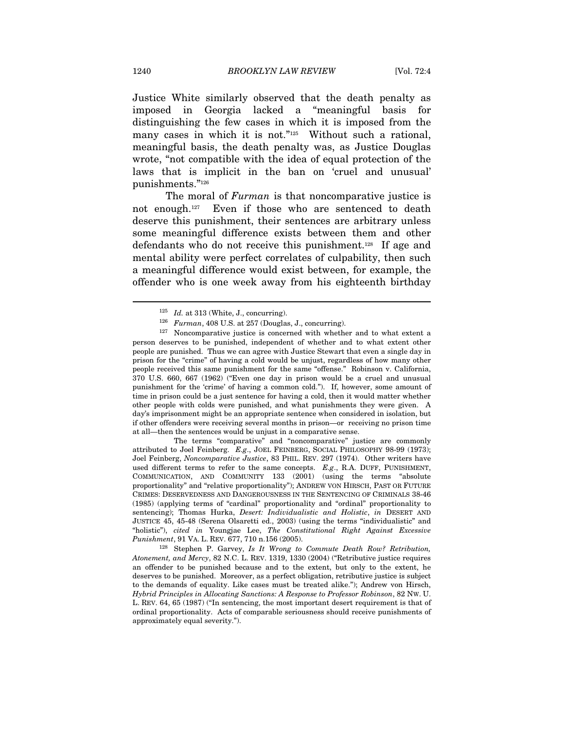Justice White similarly observed that the death penalty as imposed in Georgia lacked a "meaningful basis for distinguishing the few cases in which it is imposed from the many cases in which it is not."<sup>125</sup> Without such a rational, meaningful basis, the death penalty was, as Justice Douglas wrote, "not compatible with the idea of equal protection of the laws that is implicit in the ban on 'cruel and unusual' punishments."126

The moral of *Furman* is that noncomparative justice is not enough.127 Even if those who are sentenced to death deserve this punishment, their sentences are arbitrary unless some meaningful difference exists between them and other defendants who do not receive this punishment.128 If age and mental ability were perfect correlates of culpability, then such a meaningful difference would exist between, for example, the offender who is one week away from his eighteenth birthday

 The terms "comparative" and "noncomparative" justice are commonly attributed to Joel Feinberg. E.g., JOEL FEINBERG, SOCIAL PHILOSOPHY 98-99 (1973); Joel Feinberg, Noncomparative Justice, 83 PHIL. REV. 297 (1974). Other writers have used different terms to refer to the same concepts. E.g., R.A. DUFF, PUNISHMENT, COMMUNICATION, AND COMMUNITY 133 (2001) (using the terms "absolute proportionality" and "relative proportionality"); ANDREW VON HIRSCH, PAST OR FUTURE CRIMES: DESERVEDNESS AND DANGEROUSNESS IN THE SENTENCING OF CRIMINALS 38-46 (1985) (applying terms of "cardinal" proportionality and "ordinal" proportionality to sentencing); Thomas Hurka, Desert: Individualistic and Holistic, in DESERT AND JUSTICE 45, 45-48 (Serena Olsaretti ed., 2003) (using the terms "individualistic" and "holistic"), cited in Youngjae Lee, The Constitutional Right Against Excessive

Punishment, 91 VA. L. REV. 677, 710 n.156 (2005).<br><sup>128</sup> Stephen P. Garvey, *Is It Wrong to Commute Death Row? Retribution*, Atonement, and Mercy, 82 N.C. L. REV. 1319, 1330 (2004) ("Retributive justice requires an offender to be punished because and to the extent, but only to the extent, he deserves to be punished. Moreover, as a perfect obligation, retributive justice is subject to the demands of equality. Like cases must be treated alike."); Andrew von Hirsch, Hybrid Principles in Allocating Sanctions: A Response to Professor Robinson, 82 NW. U. L. REV. 64, 65 (1987) ("In sentencing, the most important desert requirement is that of ordinal proportionality. Acts of comparable seriousness should receive punishments of approximately equal severity.").

 $125$  *Id.* at 313 (White, J., concurring).

<sup>&</sup>lt;sup>126</sup> Furman, 408 U.S. at 257 (Douglas, J., concurring).<br><sup>127</sup> Noncomparative justice is concerned with whether and to what extent a person deserves to be punished, independent of whether and to what extent other people are punished. Thus we can agree with Justice Stewart that even a single day in prison for the "crime" of having a cold would be unjust, regardless of how many other people received this same punishment for the same "offense." Robinson v. California, 370 U.S. 660, 667 (1962) ("Even one day in prison would be a cruel and unusual punishment for the 'crime' of having a common cold."). If, however, some amount of time in prison could be a just sentence for having a cold, then it would matter whether other people with colds were punished, and what punishments they were given. A day's imprisonment might be an appropriate sentence when considered in isolation, but if other offenders were receiving several months in prison—or receiving no prison time at all—then the sentences would be unjust in a comparative sense.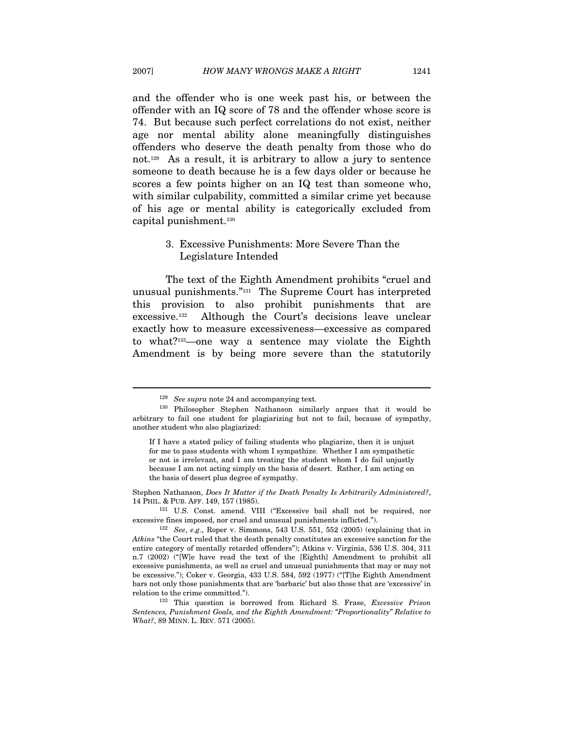and the offender who is one week past his, or between the offender with an IQ score of 78 and the offender whose score is 74. But because such perfect correlations do not exist, neither age nor mental ability alone meaningfully distinguishes offenders who deserve the death penalty from those who do not.129 As a result, it is arbitrary to allow a jury to sentence someone to death because he is a few days older or because he scores a few points higher on an IQ test than someone who, with similar culpability, committed a similar crime yet because of his age or mental ability is categorically excluded from capital punishment.130

#### 3. Excessive Punishments: More Severe Than the Legislature Intended

The text of the Eighth Amendment prohibits "cruel and unusual punishments."131 The Supreme Court has interpreted this provision to also prohibit punishments that are excessive.132 Although the Court's decisions leave unclear exactly how to measure excessiveness—excessive as compared to what?133—one way a sentence may violate the Eighth Amendment is by being more severe than the statutorily

Stephen Nathanson, Does It Matter if the Death Penalty Is Arbitrarily Administered?, 14 PHIL. & PUB. AFF. 149, 157 (1985). 131 U.S. Const. amend. VIII ("Excessive bail shall not be required, nor

<sup>&</sup>lt;sup>129</sup> See supra note 24 and accompanying text.<br><sup>130</sup> Philosopher Stephen Nathanson similarly argues that it would be arbitrary to fail one student for plagiarizing but not to fail, because of sympathy, another student who also plagiarized:

If I have a stated policy of failing students who plagiarize, then it is unjust for me to pass students with whom I sympathize. Whether I am sympathetic or not is irrelevant, and I am treating the student whom I do fail unjustly because I am not acting simply on the basis of desert. Rather, I am acting on the basis of desert plus degree of sympathy.

excessive fines imposed, nor cruel and unusual punishments inflicted.").<br><sup>132</sup> See, e.g., Roper v. Simmons, 543 U.S. 551, 552 (2005) (explaining that in

Atkins "the Court ruled that the death penalty constitutes an excessive sanction for the entire category of mentally retarded offenders"); Atkins v. Virginia, 536 U.S. 304, 311 n.7 (2002) ("[W]e have read the text of the [Eighth] Amendment to prohibit all excessive punishments, as well as cruel and unusual punishments that may or may not be excessive."); Coker v. Georgia, 433 U.S. 584, 592 (1977) ("[T]he Eighth Amendment bars not only those punishments that are 'barbaric' but also those that are 'excessive' in relation to the crime committed.").<br><sup>133</sup> This question is borrowed from Richard S. Frase, *Excessive Prison* 

Sentences, Punishment Goals, and the Eighth Amendment: "Proportionality" Relative to What?, 89 MINN. L. REV. 571 (2005).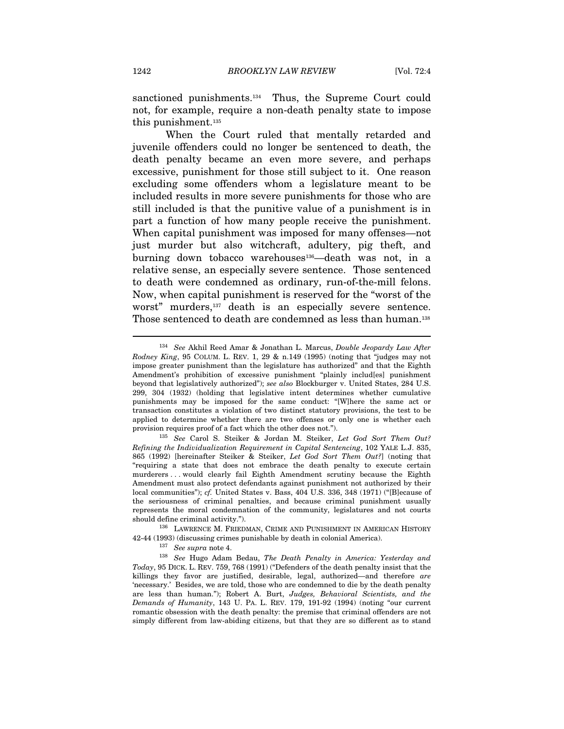sanctioned punishments.134 Thus, the Supreme Court could not, for example, require a non-death penalty state to impose this punishment.135

When the Court ruled that mentally retarded and juvenile offenders could no longer be sentenced to death, the death penalty became an even more severe, and perhaps excessive, punishment for those still subject to it. One reason excluding some offenders whom a legislature meant to be included results in more severe punishments for those who are still included is that the punitive value of a punishment is in part a function of how many people receive the punishment. When capital punishment was imposed for many offenses—not just murder but also witchcraft, adultery, pig theft, and burning down tobacco warehouses<sup>136</sup>—death was not, in a relative sense, an especially severe sentence. Those sentenced to death were condemned as ordinary, run-of-the-mill felons. Now, when capital punishment is reserved for the "worst of the worst" murders,<sup>137</sup> death is an especially severe sentence. Those sentenced to death are condemned as less than human.<sup>138</sup>

should define criminal activity."). 136 LAWRENCE M. FRIEDMAN, CRIME AND PUNISHMENT IN AMERICAN HISTORY

<sup>&</sup>lt;sup>134</sup> See Akhil Reed Amar & Jonathan L. Marcus, *Double Jeopardy Law After* Rodney King, 95 COLUM. L. REV. 1, 29 & n.149 (1995) (noting that "judges may not impose greater punishment than the legislature has authorized" and that the Eighth Amendment's prohibition of excessive punishment "plainly includ[es] punishment beyond that legislatively authorized"); see also Blockburger v. United States, 284 U.S. 299, 304 (1932) (holding that legislative intent determines whether cumulative punishments may be imposed for the same conduct: "[W]here the same act or transaction constitutes a violation of two distinct statutory provisions, the test to be applied to determine whether there are two offenses or only one is whether each provision requires proof of a fact which the other does not.").<br><sup>135</sup> See Carol S. Steiker & Jordan M. Steiker, Let God Sort Them Out?

Refining the Individualization Requirement in Capital Sentencing, 102 YALE L.J. 835, 865 (1992) [hereinafter Steiker & Steiker, Let God Sort Them Out?] (noting that "requiring a state that does not embrace the death penalty to execute certain murderers . . . would clearly fail Eighth Amendment scrutiny because the Eighth Amendment must also protect defendants against punishment not authorized by their local communities"); cf. United States v. Bass, 404 U.S. 336, 348 (1971) ("[B] ecause of the seriousness of criminal penalties, and because criminal punishment usually represents the moral condemnation of the community, legislatures and not courts

<sup>42-44 (1993) (</sup>discussing crimes punishable by death in colonial America).<br><sup>137</sup> See supra note 4.<br><sup>138</sup> See Hugo Adam Bedau, *The Death Penalty in America: Yesterday and* Today, 95 DICK. L. REV. 759, 768 (1991) ("Defenders of the death penalty insist that the killings they favor are justified, desirable, legal, authorized—and therefore are 'necessary.' Besides, we are told, those who are condemned to die by the death penalty are less than human."); Robert A. Burt, Judges, Behavioral Scientists, and the Demands of Humanity, 143 U. PA. L. REV. 179, 191-92 (1994) (noting "our current romantic obsession with the death penalty: the premise that criminal offenders are not simply different from law-abiding citizens, but that they are so different as to stand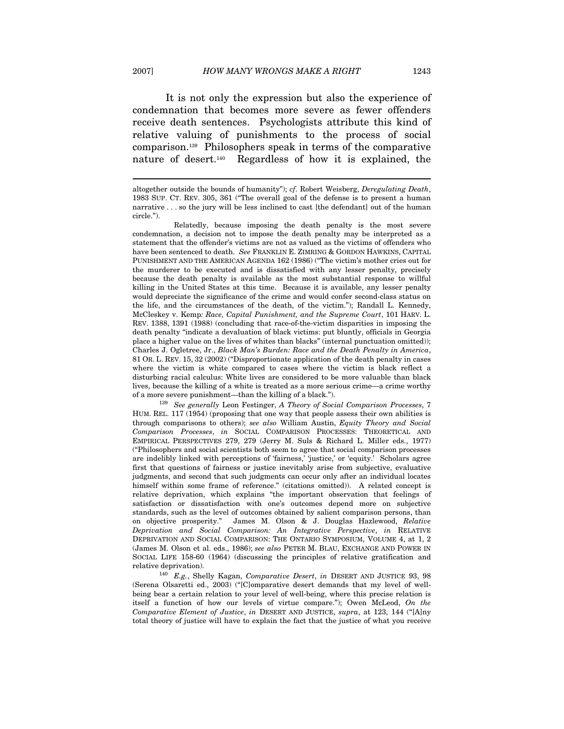$\overline{a}$ 

It is not only the expression but also the experience of condemnation that becomes more severe as fewer offenders receive death sentences. Psychologists attribute this kind of relative valuing of punishments to the process of social comparison.139 Philosophers speak in terms of the comparative nature of desert.140 Regardless of how it is explained, the

HUM. REL. 117 (1954) (proposing that one way that people assess their own abilities is through comparisons to others); see also William Austin, Equity Theory and Social Comparison Processes, in SOCIAL COMPARISON PROCESSES: THEORETICAL AND EMPIRICAL PERSPECTIVES 279, 279 (Jerry M. Suls & Richard L. Miller eds., 1977) ("Philosophers and social scientists both seem to agree that social comparison processes are indelibly linked with perceptions of 'fairness,' 'justice,' or 'equity.' Scholars agree first that questions of fairness or justice inevitably arise from subjective, evaluative judgments, and second that such judgments can occur only after an individual locates himself within some frame of reference." (citations omitted)). A related concept is relative deprivation, which explains "the important observation that feelings of satisfaction or dissatisfaction with one's outcomes depend more on subjective standards, such as the level of outcomes obtained by salient comparison persons, than on objective prosperity." James M. Olson & J. Douglas Hazlewood, Relative Deprivation and Social Comparison: An Integrative Perspective, in RELATIVE DEPRIVATION AND SOCIAL COMPARISON: THE ONTARIO SYMPOSIUM, VOLUME 4, at 1, 2 (James M. Olson et al. eds., 1986); see also PETER M. BLAU, EXCHANGE AND POWER IN SOCIAL LIFE 158-60 (1964) (discussing the principles of relative gratification and relative deprivation).  $140 E.g., Shelly Kagan, *Comparative Desert, in* DESERT AND JUSTICE 93, 98$ 

(Serena Olsaretti ed., 2003) ("[C]omparative desert demands that my level of wellbeing bear a certain relation to your level of well-being, where this precise relation is itself a function of how our levels of virtue compare."); Owen McLeod, On the Comparative Element of Justice, in DESERT AND JUSTICE, supra, at 123, 144 ("[A]ny total theory of justice will have to explain the fact that the justice of what you receive

altogether outside the bounds of humanity"); cf. Robert Weisberg, Deregulating Death, 1983 SUP. CT. REV. 305, 361 ("The overall goal of the defense is to present a human narrative . . . so the jury will be less inclined to cast [the defendant] out of the human circle.").

Relatedly, because imposing the death penalty is the most severe condemnation, a decision not to impose the death penalty may be interpreted as a statement that the offender's victims are not as valued as the victims of offenders who have been sentenced to death. See FRANKLIN E. ZIMRING & GORDON HAWKINS, CAPITAL PUNISHMENT AND THE AMERICAN AGENDA 162 (1986) ("The victim's mother cries out for the murderer to be executed and is dissatisfied with any lesser penalty, precisely because the death penalty is available as the most substantial response to willful killing in the United States at this time. Because it is available, any lesser penalty would depreciate the significance of the crime and would confer second-class status on the life, and the circumstances of the death, of the victim."); Randall L. Kennedy, McCleskey v. Kemp: Race, Capital Punishment, and the Supreme Court, 101 HARV. L. REV. 1388, 1391 (1988) (concluding that race-of-the-victim disparities in imposing the death penalty "indicate a devaluation of black victims: put bluntly, officials in Georgia place a higher value on the lives of whites than blacks" (internal punctuation omitted)); Charles J. Ogletree, Jr., Black Man's Burden: Race and the Death Penalty in America, 81 OR. L. REV. 15, 32 (2002) ("Disproportionate application of the death penalty in cases where the victim is white compared to cases where the victim is black reflect a disturbing racial calculus: White lives are considered to be more valuable than black lives, because the killing of a white is treated as a more serious crime—a crime worthy of a more severe punishment—than the killing of a black.").<br><sup>139</sup> See generally Leon Festinger, A Theory of Social Comparison Processes, 7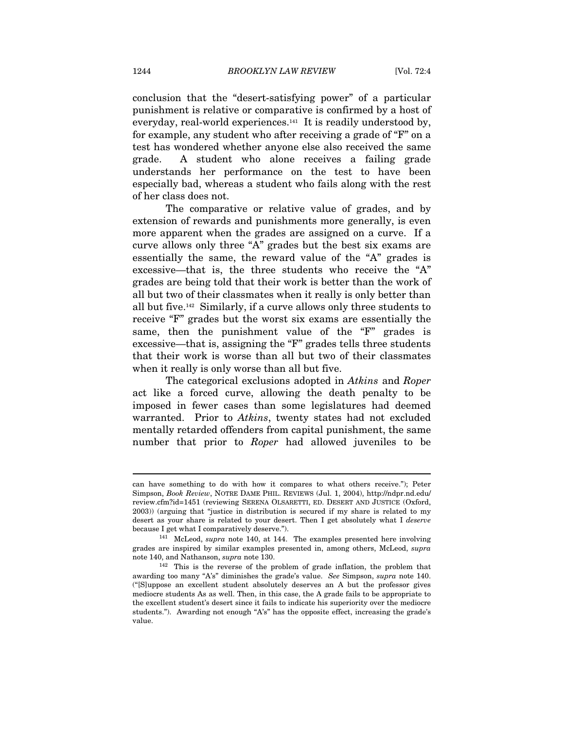conclusion that the "desert-satisfying power" of a particular punishment is relative or comparative is confirmed by a host of everyday, real-world experiences.<sup>141</sup> It is readily understood by, for example, any student who after receiving a grade of "F" on a test has wondered whether anyone else also received the same grade. A student who alone receives a failing grade understands her performance on the test to have been especially bad, whereas a student who fails along with the rest of her class does not.

The comparative or relative value of grades, and by extension of rewards and punishments more generally, is even more apparent when the grades are assigned on a curve. If a curve allows only three "A" grades but the best six exams are essentially the same, the reward value of the "A" grades is excessive—that is, the three students who receive the "A" grades are being told that their work is better than the work of all but two of their classmates when it really is only better than all but five.142 Similarly, if a curve allows only three students to receive "F" grades but the worst six exams are essentially the same, then the punishment value of the "F" grades is excessive—that is, assigning the "F" grades tells three students that their work is worse than all but two of their classmates when it really is only worse than all but five.

The categorical exclusions adopted in Atkins and Roper act like a forced curve, allowing the death penalty to be imposed in fewer cases than some legislatures had deemed warranted. Prior to Atkins, twenty states had not excluded mentally retarded offenders from capital punishment, the same number that prior to *Roper* had allowed juveniles to be

can have something to do with how it compares to what others receive."); Peter Simpson, Book Review, NOTRE DAME PHIL. REVIEWS (Jul. 1, 2004), http://ndpr.nd.edu/ review.cfm?id=1451 (reviewing SERENA OLSARETTI, ED. DESERT AND JUSTICE (Oxford, 2003)) (arguing that "justice in distribution is secured if my share is related to my desert as your share is related to your desert. Then I get absolutely what I deserve because I get what I comparatively deserve.").<br><sup>141</sup> McLeod, *supra* note 140, at 144. The examples presented here involving

grades are inspired by similar examples presented in, among others, McLeod, supra note 140, and Nathanson, *supra* note 130.<br><sup>142</sup> This is the reverse of the problem of grade inflation, the problem that

awarding too many "A's" diminishes the grade's value. See Simpson, supra note 140. ("[S]uppose an excellent student absolutely deserves an A but the professor gives mediocre students As as well. Then, in this case, the A grade fails to be appropriate to the excellent student's desert since it fails to indicate his superiority over the mediocre students."). Awarding not enough "A's" has the opposite effect, increasing the grade's value.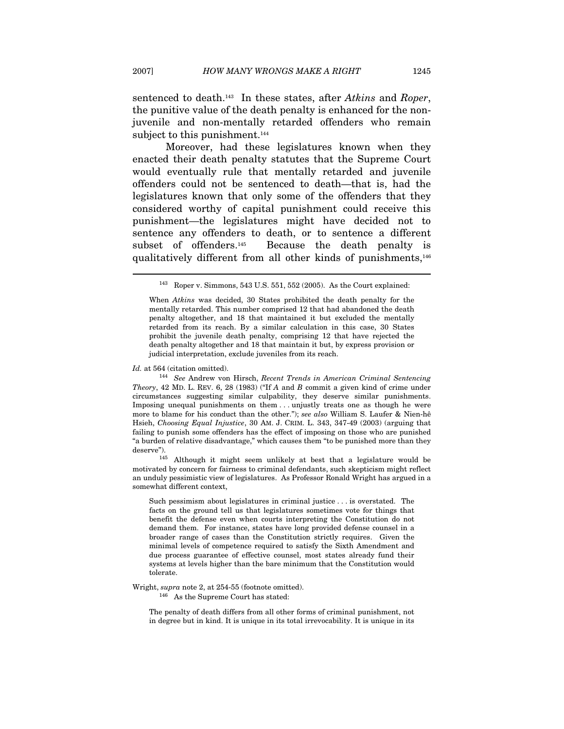sentenced to death.<sup>143</sup> In these states, after Atkins and Roper, the punitive value of the death penalty is enhanced for the nonjuvenile and non-mentally retarded offenders who remain subject to this punishment.<sup>144</sup>

Moreover, had these legislatures known when they enacted their death penalty statutes that the Supreme Court would eventually rule that mentally retarded and juvenile offenders could not be sentenced to death—that is, had the legislatures known that only some of the offenders that they considered worthy of capital punishment could receive this punishment—the legislatures might have decided not to sentence any offenders to death, or to sentence a different subset of offenders.<sup>145</sup> Because the death penalty is qualitatively different from all other kinds of punishments,<sup>146</sup>

Id. at 564 (citation omitted). 144 See Andrew von Hirsch, Recent Trends in American Criminal Sentencing Theory, 42 MD. L. REV. 6, 28 (1983) ("If  $A$  and  $B$  commit a given kind of crime under circumstances suggesting similar culpability, they deserve similar punishments. Imposing unequal punishments on them . . . unjustly treats one as though he were more to blame for his conduct than the other."); see also William S. Laufer & Nien-hê Hsieh, Choosing Equal Injustice, 30 AM. J. CRIM. L. 343, 347-49 (2003) (arguing that failing to punish some offenders has the effect of imposing on those who are punished "a burden of relative disadvantage," which causes them "to be punished more than they deserve"). 145 Although it might seem unlikely at best that a legislature would be

motivated by concern for fairness to criminal defendants, such skepticism might reflect an unduly pessimistic view of legislatures. As Professor Ronald Wright has argued in a somewhat different context,

Such pessimism about legislatures in criminal justice . . . is overstated. The facts on the ground tell us that legislatures sometimes vote for things that benefit the defense even when courts interpreting the Constitution do not demand them. For instance, states have long provided defense counsel in a broader range of cases than the Constitution strictly requires. Given the minimal levels of competence required to satisfy the Sixth Amendment and due process guarantee of effective counsel, most states already fund their systems at levels higher than the bare minimum that the Constitution would tolerate.

Wright,  $supra$  note 2, at 254-55 (footnote omitted).  $^{146}$  As the Supreme Court has stated:

The penalty of death differs from all other forms of criminal punishment, not in degree but in kind. It is unique in its total irrevocability. It is unique in its

<sup>143</sup> Roper v. Simmons, 543 U.S. 551, 552 (2005). As the Court explained:

When Atkins was decided, 30 States prohibited the death penalty for the mentally retarded. This number comprised 12 that had abandoned the death penalty altogether, and 18 that maintained it but excluded the mentally retarded from its reach. By a similar calculation in this case, 30 States prohibit the juvenile death penalty, comprising 12 that have rejected the death penalty altogether and 18 that maintain it but, by express provision or judicial interpretation, exclude juveniles from its reach.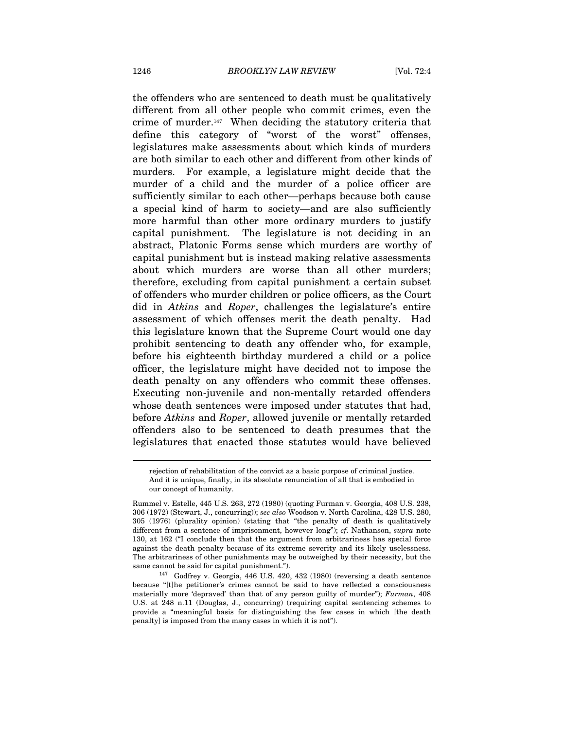the offenders who are sentenced to death must be qualitatively different from all other people who commit crimes, even the crime of murder.147 When deciding the statutory criteria that define this category of "worst of the worst" offenses, legislatures make assessments about which kinds of murders are both similar to each other and different from other kinds of murders. For example, a legislature might decide that the murder of a child and the murder of a police officer are sufficiently similar to each other—perhaps because both cause a special kind of harm to society—and are also sufficiently more harmful than other more ordinary murders to justify capital punishment. The legislature is not deciding in an abstract, Platonic Forms sense which murders are worthy of capital punishment but is instead making relative assessments about which murders are worse than all other murders; therefore, excluding from capital punishment a certain subset of offenders who murder children or police officers, as the Court did in Atkins and Roper, challenges the legislature's entire assessment of which offenses merit the death penalty. Had this legislature known that the Supreme Court would one day prohibit sentencing to death any offender who, for example, before his eighteenth birthday murdered a child or a police officer, the legislature might have decided not to impose the death penalty on any offenders who commit these offenses. Executing non-juvenile and non-mentally retarded offenders whose death sentences were imposed under statutes that had, before Atkins and Roper, allowed juvenile or mentally retarded offenders also to be sentenced to death presumes that the legislatures that enacted those statutes would have believed

rejection of rehabilitation of the convict as a basic purpose of criminal justice. And it is unique, finally, in its absolute renunciation of all that is embodied in our concept of humanity.

Rummel v. Estelle, 445 U.S. 263, 272 (1980) (quoting Furman v. Georgia, 408 U.S. 238, 306 (1972) (Stewart, J., concurring)); see also Woodson v. North Carolina, 428 U.S. 280, 305 (1976) (plurality opinion) (stating that "the penalty of death is qualitatively different from a sentence of imprisonment, however long"); cf. Nathanson, supra note 130, at 162 ("I conclude then that the argument from arbitrariness has special force against the death penalty because of its extreme severity and its likely uselessness. The arbitrariness of other punishments may be outweighed by their necessity, but the same cannot be said for capital punishment.").<br><sup>147</sup> Godfrey v. Georgia, 446 U.S. 420, 432 (1980) (reversing a death sentence

because "[t]he petitioner's crimes cannot be said to have reflected a consciousness materially more 'depraved' than that of any person guilty of murder"); Furman, 408 U.S. at 248 n.11 (Douglas, J., concurring) (requiring capital sentencing schemes to provide a "meaningful basis for distinguishing the few cases in which [the death penalty] is imposed from the many cases in which it is not").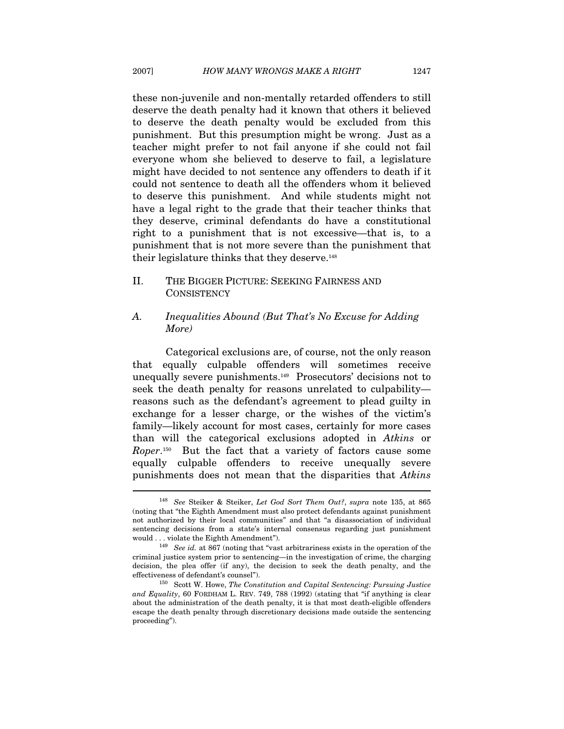these non-juvenile and non-mentally retarded offenders to still deserve the death penalty had it known that others it believed to deserve the death penalty would be excluded from this punishment. But this presumption might be wrong. Just as a teacher might prefer to not fail anyone if she could not fail everyone whom she believed to deserve to fail, a legislature might have decided to not sentence any offenders to death if it could not sentence to death all the offenders whom it believed to deserve this punishment. And while students might not have a legal right to the grade that their teacher thinks that they deserve, criminal defendants do have a constitutional right to a punishment that is not excessive—that is, to a punishment that is not more severe than the punishment that their legislature thinks that they deserve.<sup>148</sup>

### II. THE BIGGER PICTURE: SEEKING FAIRNESS AND **CONSISTENCY**

#### A. Inequalities Abound (But That's No Excuse for Adding More)

Categorical exclusions are, of course, not the only reason that equally culpable offenders will sometimes receive unequally severe punishments.149 Prosecutors' decisions not to seek the death penalty for reasons unrelated to culpability reasons such as the defendant's agreement to plead guilty in exchange for a lesser charge, or the wishes of the victim's family—likely account for most cases, certainly for more cases than will the categorical exclusions adopted in Atkins or Roper.150 But the fact that a variety of factors cause some equally culpable offenders to receive unequally severe punishments does not mean that the disparities that Atkins

<sup>&</sup>lt;sup>148</sup> See Steiker & Steiker, Let God Sort Them Out?, supra note 135, at 865 (noting that "the Eighth Amendment must also protect defendants against punishment not authorized by their local communities" and that "a disassociation of individual sentencing decisions from a state's internal consensus regarding just punishment would . . . violate the Eighth Amendment").<br><sup>149</sup> See id. at 867 (noting that "vast arbitrariness exists in the operation of the

criminal justice system prior to sentencing—in the investigation of crime, the charging decision, the plea offer (if any), the decision to seek the death penalty, and the effectiveness of defendant's counsel").<br><sup>150</sup> Scott W. Howe, *The Constitution and Capital Sentencing: Pursuing Justice* 

and Equality, 60 FORDHAM L. REV. 749, 788 (1992) (stating that "if anything is clear about the administration of the death penalty, it is that most death-eligible offenders escape the death penalty through discretionary decisions made outside the sentencing proceeding").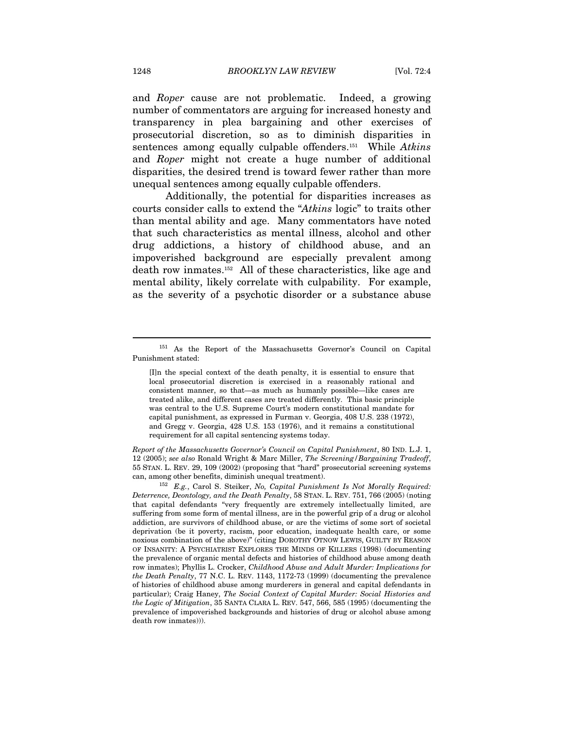and Roper cause are not problematic. Indeed, a growing number of commentators are arguing for increased honesty and transparency in plea bargaining and other exercises of prosecutorial discretion, so as to diminish disparities in sentences among equally culpable offenders.<sup>151</sup> While Atkins and Roper might not create a huge number of additional disparities, the desired trend is toward fewer rather than more unequal sentences among equally culpable offenders.

Additionally, the potential for disparities increases as courts consider calls to extend the "Atkins logic" to traits other than mental ability and age. Many commentators have noted that such characteristics as mental illness, alcohol and other drug addictions, a history of childhood abuse, and an impoverished background are especially prevalent among death row inmates.152 All of these characteristics, like age and mental ability, likely correlate with culpability. For example, as the severity of a psychotic disorder or a substance abuse

Report of the Massachusetts Governor's Council on Capital Punishment, 80 IND. L.J. 1, 12 (2005); see also Ronald Wright & Marc Miller, The Screening/Bargaining Tradeoff, 55 STAN. L. REV. 29, 109 (2002) (proposing that "hard" prosecutorial screening systems can, among other benefits, diminish unequal treatment).<br><sup>152</sup> E.g., Carol S. Steiker, No, Capital Punishment Is Not Morally Required:

<sup>151</sup> As the Report of the Massachusetts Governor's Council on Capital Punishment stated:

<sup>[</sup>I]n the special context of the death penalty, it is essential to ensure that local prosecutorial discretion is exercised in a reasonably rational and consistent manner, so that—as much as humanly possible—like cases are treated alike, and different cases are treated differently. This basic principle was central to the U.S. Supreme Court's modern constitutional mandate for capital punishment, as expressed in Furman v. Georgia, 408 U.S. 238 (1972), and Gregg v. Georgia, 428 U.S. 153 (1976), and it remains a constitutional requirement for all capital sentencing systems today.

Deterrence, Deontology, and the Death Penalty, 58 STAN. L. REV. 751, 766 (2005) (noting that capital defendants "very frequently are extremely intellectually limited, are suffering from some form of mental illness, are in the powerful grip of a drug or alcohol addiction, are survivors of childhood abuse, or are the victims of some sort of societal deprivation (be it poverty, racism, poor education, inadequate health care, or some noxious combination of the above)" (citing DOROTHY OTNOW LEWIS, GUILTY BY REASON OF INSANITY: A PSYCHIATRIST EXPLORES THE MINDS OF KILLERS (1998) (documenting the prevalence of organic mental defects and histories of childhood abuse among death row inmates); Phyllis L. Crocker, Childhood Abuse and Adult Murder: Implications for the Death Penalty, 77 N.C. L. REV. 1143, 1172-73 (1999) (documenting the prevalence of histories of childhood abuse among murderers in general and capital defendants in particular); Craig Haney, The Social Context of Capital Murder: Social Histories and the Logic of Mitigation, 35 SANTA CLARA L. REV. 547, 566, 585 (1995) (documenting the prevalence of impoverished backgrounds and histories of drug or alcohol abuse among death row inmates))).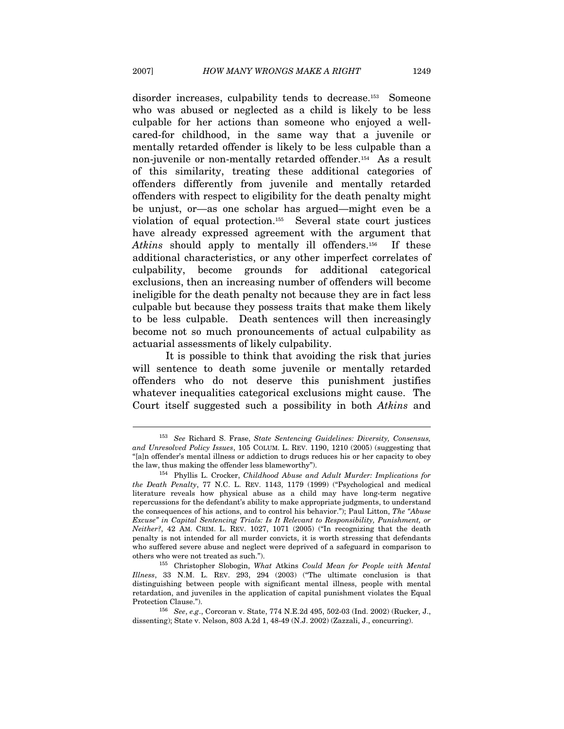disorder increases, culpability tends to decrease.<sup>153</sup> Someone who was abused or neglected as a child is likely to be less culpable for her actions than someone who enjoyed a wellcared-for childhood, in the same way that a juvenile or mentally retarded offender is likely to be less culpable than a non-juvenile or non-mentally retarded offender.<sup>154</sup> As a result of this similarity, treating these additional categories of offenders differently from juvenile and mentally retarded offenders with respect to eligibility for the death penalty might be unjust, or—as one scholar has argued—might even be a violation of equal protection.155 Several state court justices have already expressed agreement with the argument that Atkins should apply to mentally ill offenders.<sup>156</sup> If these additional characteristics, or any other imperfect correlates of culpability, become grounds for additional categorical exclusions, then an increasing number of offenders will become ineligible for the death penalty not because they are in fact less culpable but because they possess traits that make them likely to be less culpable. Death sentences will then increasingly become not so much pronouncements of actual culpability as actuarial assessments of likely culpability.

It is possible to think that avoiding the risk that juries will sentence to death some juvenile or mentally retarded offenders who do not deserve this punishment justifies whatever inequalities categorical exclusions might cause. The Court itself suggested such a possibility in both Atkins and

<sup>&</sup>lt;sup>153</sup> See Richard S. Frase, State Sentencing Guidelines: Diversity, Consensus, and Unresolved Policy Issues, 105 COLUM. L. REV. 1190, 1210 (2005) (suggesting that "[a]n offender's mental illness or addiction to drugs reduces his or her capacity to obey the law, thus making the offender less blameworthy").<br><sup>154</sup> Phyllis L. Crocker, *Childhood Abuse and Adult Murder: Implications for* 

the Death Penalty, 77 N.C. L. REV. 1143, 1179 (1999) ("Psychological and medical literature reveals how physical abuse as a child may have long-term negative repercussions for the defendant's ability to make appropriate judgments, to understand the consequences of his actions, and to control his behavior."); Paul Litton, The "Abuse Excuse" in Capital Sentencing Trials: Is It Relevant to Responsibility, Punishment, or Neither?, 42 AM. CRIM. L. REV. 1027, 1071 (2005) ("In recognizing that the death penalty is not intended for all murder convicts, it is worth stressing that defendants who suffered severe abuse and neglect were deprived of a safeguard in comparison to others who were not treated as such.").<br><sup>155</sup> Christopher Slobogin, What Atkins Could Mean for People with Mental

Illness, 33 N.M. L. REV. 293, 294 (2003) ("The ultimate conclusion is that distinguishing between people with significant mental illness, people with mental retardation, and juveniles in the application of capital punishment violates the Equal

Protection Clause."). 156 See, e.g., Corcoran v. State, 774 N.E.2d 495, 502-03 (Ind. 2002) (Rucker, J., dissenting); State v. Nelson, 803 A.2d 1, 48-49 (N.J. 2002) (Zazzali, J., concurring).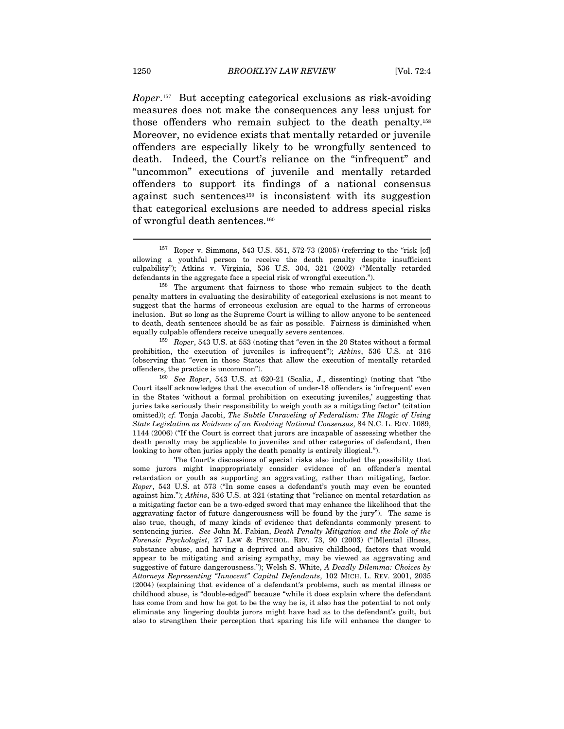Roper.157 But accepting categorical exclusions as risk-avoiding measures does not make the consequences any less unjust for those offenders who remain subject to the death penalty.158 Moreover, no evidence exists that mentally retarded or juvenile offenders are especially likely to be wrongfully sentenced to death. Indeed, the Court's reliance on the "infrequent" and "uncommon" executions of juvenile and mentally retarded offenders to support its findings of a national consensus against such sentences159 is inconsistent with its suggestion that categorical exclusions are needed to address special risks of wrongful death sentences.160

prohibition, the execution of juveniles is infrequent"); Atkins, 536 U.S. at 316 (observing that "even in those States that allow the execution of mentally retarded offenders, the practice is uncommon"). 160 See Roper, 543 U.S. at 620-21 (Scalia, J., dissenting) (noting that "the

Court itself acknowledges that the execution of under-18 offenders is 'infrequent' even in the States 'without a formal prohibition on executing juveniles,' suggesting that juries take seriously their responsibility to weigh youth as a mitigating factor" (citation omitted)); cf. Tonja Jacobi, The Subtle Unraveling of Federalism: The Illogic of Using State Legislation as Evidence of an Evolving National Consensus, 84 N.C. L. REV. 1089, 1144 (2006) ("If the Court is correct that jurors are incapable of assessing whether the death penalty may be applicable to juveniles and other categories of defendant, then looking to how often juries apply the death penalty is entirely illogical.").

 The Court's discussions of special risks also included the possibility that some jurors might inappropriately consider evidence of an offender's mental retardation or youth as supporting an aggravating, rather than mitigating, factor. Roper, 543 U.S. at 573 ("In some cases a defendant's youth may even be counted against him."); Atkins, 536 U.S. at 321 (stating that "reliance on mental retardation as a mitigating factor can be a two-edged sword that may enhance the likelihood that the aggravating factor of future dangerousness will be found by the jury"). The same is also true, though, of many kinds of evidence that defendants commonly present to sentencing juries. See John M. Fabian, Death Penalty Mitigation and the Role of the Forensic Psychologist, 27 LAW & PSYCHOL. REV. 73, 90 (2003) ("[M]ental illness, substance abuse, and having a deprived and abusive childhood, factors that would appear to be mitigating and arising sympathy, may be viewed as aggravating and suggestive of future dangerousness."); Welsh S. White, A Deadly Dilemma: Choices by Attorneys Representing "Innocent" Capital Defendants, 102 MICH. L. REV. 2001, 2035 (2004) (explaining that evidence of a defendant's problems, such as mental illness or childhood abuse, is "double-edged" because "while it does explain where the defendant has come from and how he got to be the way he is, it also has the potential to not only eliminate any lingering doubts jurors might have had as to the defendant's guilt, but also to strengthen their perception that sparing his life will enhance the danger to

<sup>157</sup> Roper v. Simmons, 543 U.S. 551, 572-73 (2005) (referring to the "risk [of] allowing a youthful person to receive the death penalty despite insufficient culpability"); Atkins v. Virginia, 536 U.S. 304, 321 (2002) ("Mentally retarded defendants in the aggregate face a special risk of wrongful execution.").<br><sup>158</sup> The argument that fairness to those who remain subject to the death

penalty matters in evaluating the desirability of categorical exclusions is not meant to suggest that the harms of erroneous exclusion are equal to the harms of erroneous inclusion. But so long as the Supreme Court is willing to allow anyone to be sentenced to death, death sentences should be as fair as possible. Fairness is diminished when equally culpable offenders receive unequally severe sentences.<br><sup>159</sup> Roper, 543 U.S. at 553 (noting that "even in the 20 States without a formal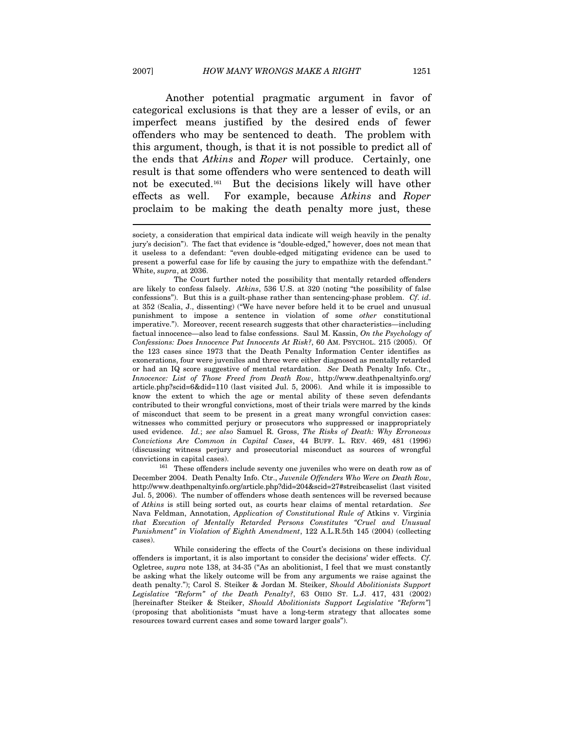Another potential pragmatic argument in favor of categorical exclusions is that they are a lesser of evils, or an imperfect means justified by the desired ends of fewer offenders who may be sentenced to death. The problem with this argument, though, is that it is not possible to predict all of the ends that Atkins and Roper will produce. Certainly, one result is that some offenders who were sentenced to death will not be executed.161 But the decisions likely will have other effects as well. For example, because Atkins and Roper proclaim to be making the death penalty more just, these

convictions in capital cases). 161 These offenders include seventy one juveniles who were on death row as of December 2004. Death Penalty Info. Ctr., Juvenile Offenders Who Were on Death Row, http://www.deathpenaltyinfo.org/article.php?did=204&scid=27#streibcaselist (last visited Jul. 5, 2006). The number of offenders whose death sentences will be reversed because of Atkins is still being sorted out, as courts hear claims of mental retardation. See Nava Feldman, Annotation, Application of Constitutional Rule of Atkins v. Virginia that Execution of Mentally Retarded Persons Constitutes "Cruel and Unusual Punishment" in Violation of Eighth Amendment, 122 A.L.R.5th 145 (2004) (collecting cases).

 While considering the effects of the Court's decisions on these individual offenders is important, it is also important to consider the decisions' wider effects. Cf. Ogletree, supra note 138, at 34-35 ("As an abolitionist, I feel that we must constantly be asking what the likely outcome will be from any arguments we raise against the death penalty."); Carol S. Steiker & Jordan M. Steiker, Should Abolitionists Support Legislative "Reform" of the Death Penalty?, 63 OHIO ST. L.J. 417, 431 (2002) [hereinafter Steiker & Steiker, Should Abolitionists Support Legislative "Reform"] (proposing that abolitionists "must have a long-term strategy that allocates some resources toward current cases and some toward larger goals").

society, a consideration that empirical data indicate will weigh heavily in the penalty jury's decision"). The fact that evidence is "double-edged," however, does not mean that it useless to a defendant: "even double-edged mitigating evidence can be used to present a powerful case for life by causing the jury to empathize with the defendant." White, supra, at 2036.

The Court further noted the possibility that mentally retarded offenders are likely to confess falsely. Atkins, 536 U.S. at 320 (noting "the possibility of false confessions"). But this is a guilt-phase rather than sentencing-phase problem. Cf. id. at 352 (Scalia, J., dissenting) ("We have never before held it to be cruel and unusual punishment to impose a sentence in violation of some other constitutional imperative."). Moreover, recent research suggests that other characteristics—including factual innocence—also lead to false confessions. Saul M. Kassin, On the Psychology of Confessions: Does Innocence Put Innocents At Risk?, 60 AM. PSYCHOL. 215 (2005). Of the 123 cases since 1973 that the Death Penalty Information Center identifies as exonerations, four were juveniles and three were either diagnosed as mentally retarded or had an IQ score suggestive of mental retardation. See Death Penalty Info. Ctr., Innocence: List of Those Freed from Death Row, http://www.deathpenaltyinfo.org/ article.php?scid=6&did=110 (last visited Jul. 5, 2006). And while it is impossible to know the extent to which the age or mental ability of these seven defendants contributed to their wrongful convictions, most of their trials were marred by the kinds of misconduct that seem to be present in a great many wrongful conviction cases: witnesses who committed perjury or prosecutors who suppressed or inappropriately used evidence. Id.; see also Samuel R. Gross, The Risks of Death: Why Erroneous Convictions Are Common in Capital Cases, 44 BUFF. L. REV. 469, 481 (1996) (discussing witness perjury and prosecutorial misconduct as sources of wrongful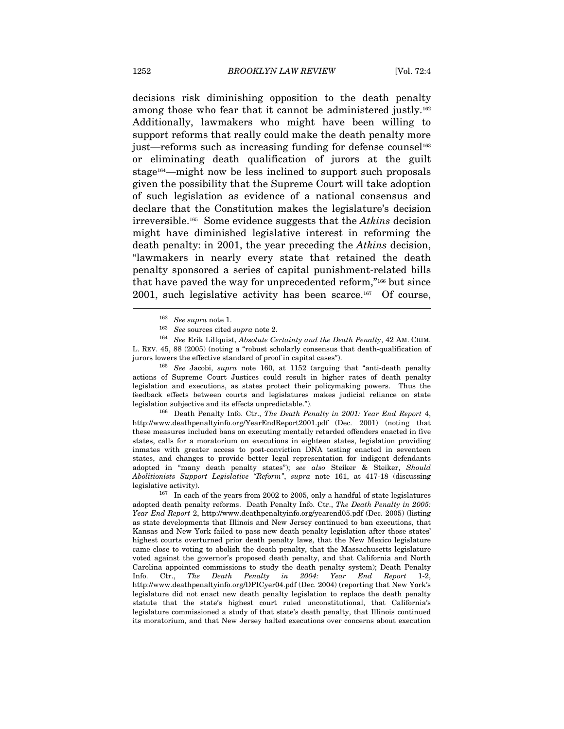decisions risk diminishing opposition to the death penalty among those who fear that it cannot be administered justly.162 Additionally, lawmakers who might have been willing to support reforms that really could make the death penalty more just—reforms such as increasing funding for defense counsel<sup>163</sup> or eliminating death qualification of jurors at the guilt stage<sup>164</sup>—might now be less inclined to support such proposals given the possibility that the Supreme Court will take adoption of such legislation as evidence of a national consensus and declare that the Constitution makes the legislature's decision irreversible.<sup>165</sup> Some evidence suggests that the Atkins decision might have diminished legislative interest in reforming the death penalty: in 2001, the year preceding the *Atkins* decision, "lawmakers in nearly every state that retained the death penalty sponsored a series of capital punishment-related bills that have paved the way for unprecedented reform,"166 but since 2001, such legislative activity has been scarce.167 Of course,

<sup>162</sup> See supra note 1.<br><sup>163</sup> See sources cited supra note 2.<br><sup>164</sup> See Erik Lillquist, Absolute Certainty and the Death Penalty, 42 AM. CRIM. L. REV. 45, 88 (2005) (noting a "robust scholarly consensus that death-qualification of jurors lowers the effective standard of proof in capital cases").<br><sup>165</sup> See Jacobi, supra note 160, at 1152 (arguing that "anti-death penalty

actions of Supreme Court Justices could result in higher rates of death penalty legislation and executions, as states protect their policymaking powers. Thus the feedback effects between courts and legislatures makes judicial reliance on state

<sup>166</sup> Death Penalty Info. Ctr., The Death Penalty in 2001: Year End Report 4, http://www.deathpenaltyinfo.org/YearEndReport2001.pdf (Dec. 2001) (noting that these measures included bans on executing mentally retarded offenders enacted in five states, calls for a moratorium on executions in eighteen states, legislation providing inmates with greater access to post-conviction DNA testing enacted in seventeen states, and changes to provide better legal representation for indigent defendants adopted in "many death penalty states"); see also Steiker & Steiker, Should Abolitionists Support Legislative "Reform", supra note 161, at 417-18 (discussing

legislative activity). 167 In each of the years from 2002 to 2005, only a handful of state legislatures adopted death penalty reforms. Death Penalty Info. Ctr., The Death Penalty in 2005: Year End Report 2, http://www.deathpenaltyinfo.org/yearend05.pdf (Dec. 2005) (listing as state developments that Illinois and New Jersey continued to ban executions, that Kansas and New York failed to pass new death penalty legislation after those states' highest courts overturned prior death penalty laws, that the New Mexico legislature came close to voting to abolish the death penalty, that the Massachusetts legislature voted against the governor's proposed death penalty, and that California and North Carolina appointed commissions to study the death penalty system); Death Penalty Info. Ctr., The Death Penalty in 2004: Year End Report 1-2, http://www.deathpenaltyinfo.org/DPICyer04.pdf (Dec. 2004) (reporting that New York's legislature did not enact new death penalty legislation to replace the death penalty statute that the state's highest court ruled unconstitutional, that California's legislature commissioned a study of that state's death penalty, that Illinois continued its moratorium, and that New Jersey halted executions over concerns about execution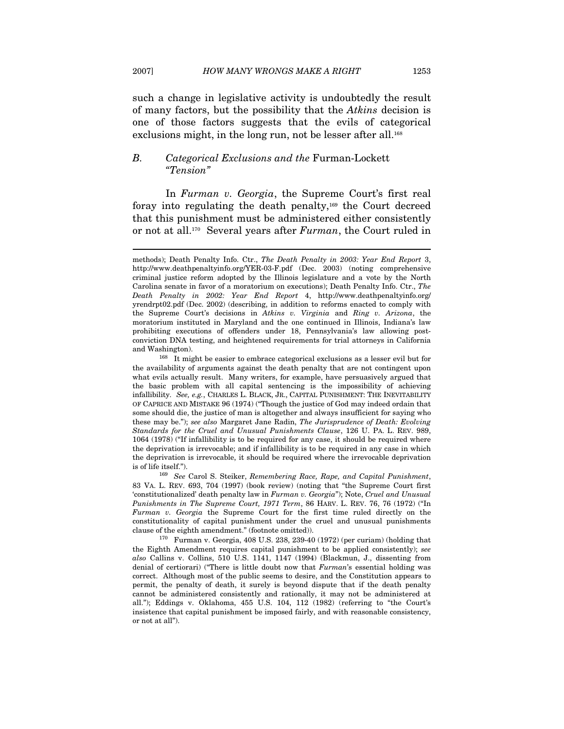such a change in legislative activity is undoubtedly the result of many factors, but the possibility that the Atkins decision is one of those factors suggests that the evils of categorical exclusions might, in the long run, not be lesser after all.<sup>168</sup>

#### B. Categorical Exclusions and the Furman-Lockett "Tension"

 $\overline{a}$ 

In Furman v. Georgia, the Supreme Court's first real foray into regulating the death penalty,169 the Court decreed that this punishment must be administered either consistently or not at all.<sup>170</sup> Several years after *Furman*, the Court ruled in

and Washington).  $168$  It might be easier to embrace categorical exclusions as a lesser evil but for the availability of arguments against the death penalty that are not contingent upon what evils actually result. Many writers, for example, have persuasively argued that the basic problem with all capital sentencing is the impossibility of achieving infallibility. See, e.g., CHARLES L. BLACK, JR., CAPITAL PUNISHMENT: THE INEVITABILITY OF CAPRICE AND MISTAKE 96 (1974) ("Though the justice of God may indeed ordain that some should die, the justice of man is altogether and always insufficient for saying who these may be."); see also Margaret Jane Radin, The Jurisprudence of Death: Evolving Standards for the Cruel and Unusual Punishments Clause, 126 U. PA. L. REV. 989, 1064 (1978) ("If infallibility is to be required for any case, it should be required where the deprivation is irrevocable; and if infallibility is to be required in any case in which the deprivation is irrevocable, it should be required where the irrevocable deprivation is of life itself."). <sup>169</sup> See Carol S. Steiker, Remembering Race, Rape, and Capital Punishment,

83 VA. L. REV. 693, 704 (1997) (book review) (noting that "the Supreme Court first 'constitutionalized' death penalty law in Furman v. Georgia"); Note, Cruel and Unusual Punishments in The Supreme Court, 1971 Term, 86 HARV. L. REV. 76, 76 (1972) ("In Furman v. Georgia the Supreme Court for the first time ruled directly on the constitutionality of capital punishment under the cruel and unusual punishments

 $170$  Furman v. Georgia, 408 U.S. 238, 239-40 (1972) (per curiam) (holding that the Eighth Amendment requires capital punishment to be applied consistently); see also Callins v. Collins, 510 U.S. 1141, 1147 (1994) (Blackmun, J., dissenting from denial of certiorari) ("There is little doubt now that Furman's essential holding was correct. Although most of the public seems to desire, and the Constitution appears to permit, the penalty of death, it surely is beyond dispute that if the death penalty cannot be administered consistently and rationally, it may not be administered at all."); Eddings v. Oklahoma, 455 U.S. 104, 112 (1982) (referring to "the Court's insistence that capital punishment be imposed fairly, and with reasonable consistency, or not at all").

methods); Death Penalty Info. Ctr., The Death Penalty in 2003: Year End Report 3, http://www.deathpenaltyinfo.org/YER-03-F.pdf (Dec. 2003) (noting comprehensive criminal justice reform adopted by the Illinois legislature and a vote by the North Carolina senate in favor of a moratorium on executions); Death Penalty Info. Ctr., The Death Penalty in 2002: Year End Report 4, http://www.deathpenaltyinfo.org/ yrendrpt02.pdf (Dec. 2002) (describing, in addition to reforms enacted to comply with the Supreme Court's decisions in Atkins v. Virginia and Ring v. Arizona, the moratorium instituted in Maryland and the one continued in Illinois, Indiana's law prohibiting executions of offenders under 18, Pennsylvania's law allowing postconviction DNA testing, and heightened requirements for trial attorneys in California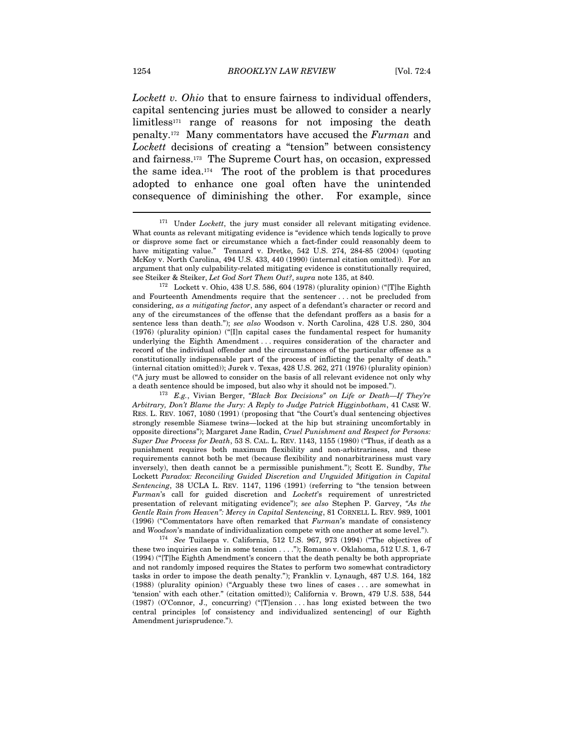Lockett v. Ohio that to ensure fairness to individual offenders, capital sentencing juries must be allowed to consider a nearly  $\text{limits}^{171}$  range of reasons for not imposing the death penalty.172 Many commentators have accused the Furman and Lockett decisions of creating a "tension" between consistency and fairness.173 The Supreme Court has, on occasion, expressed the same idea. $174$  The root of the problem is that procedures adopted to enhance one goal often have the unintended consequence of diminishing the other. For example, since

and Fourteenth Amendments require that the sentencer . . . not be precluded from considering, as a mitigating factor, any aspect of a defendant's character or record and any of the circumstances of the offense that the defendant proffers as a basis for a sentence less than death."); see also Woodson v. North Carolina, 428 U.S. 280, 304 (1976) (plurality opinion) ("[I]n capital cases the fundamental respect for humanity underlying the Eighth Amendment . . . requires consideration of the character and record of the individual offender and the circumstances of the particular offense as a constitutionally indispensable part of the process of inflicting the penalty of death." (internal citation omitted)); Jurek v. Texas, 428 U.S. 262, 271 (1976) (plurality opinion) ("A jury must be allowed to consider on the basis of all relevant evidence not only why

a death sentence should be imposed, but also why it should not be imposed."). <sup>173</sup> E.g., Vivian Berger, *"Black Box Decisions" on Life or Death—If They're* Arbitrary, Don't Blame the Jury: A Reply to Judge Patrick Higginbotham, 41 CASE W. RES. L. REV. 1067, 1080 (1991) (proposing that "the Court's dual sentencing objectives strongly resemble Siamese twins—locked at the hip but straining uncomfortably in opposite directions"); Margaret Jane Radin, Cruel Punishment and Respect for Persons: Super Due Process for Death, 53 S. CAL. L. REV. 1143, 1155 (1980) ("Thus, if death as a punishment requires both maximum flexibility and non-arbitrariness, and these requirements cannot both be met (because flexibility and nonarbitrariness must vary inversely), then death cannot be a permissible punishment."); Scott E. Sundby, The Lockett Paradox: Reconciling Guided Discretion and Unguided Mitigation in Capital Sentencing, 38 UCLA L. REV. 1147, 1196 (1991) (referring to "the tension between Furman's call for guided discretion and Lockett's requirement of unrestricted presentation of relevant mitigating evidence"); see also Stephen P. Garvey, "As the Gentle Rain from Heaven": Mercy in Capital Sentencing, 81 CORNELL L. REV. 989, 1001 (1996) ("Commentators have often remarked that Furman's mandate of consistency and Woodson's mandate of individualization compete with one another at some level.").<br><sup>174</sup> See Tuilaepa v. California, 512 U.S. 967, 973 (1994) ("The objectives of

these two inquiries can be in some tension . . . ."); Romano v. Oklahoma, 512 U.S. 1, 6-7 (1994) ("[T]he Eighth Amendment's concern that the death penalty be both appropriate and not randomly imposed requires the States to perform two somewhat contradictory tasks in order to impose the death penalty."); Franklin v. Lynaugh, 487 U.S. 164, 182 (1988) (plurality opinion) ("Arguably these two lines of cases . . . are somewhat in 'tension' with each other." (citation omitted)); California v. Brown, 479 U.S. 538, 544 (1987) (O'Connor, J., concurring) ("[T]ension . . . has long existed between the two central principles [of consistency and individualized sentencing] of our Eighth Amendment jurisprudence.").

 $171$  Under *Lockett*, the jury must consider all relevant mitigating evidence. What counts as relevant mitigating evidence is "evidence which tends logically to prove or disprove some fact or circumstance which a fact-finder could reasonably deem to have mitigating value." Tennard v. Dretke, 542 U.S. 274, 284-85 (2004) (quoting McKoy v. North Carolina, 494 U.S. 433, 440 (1990) (internal citation omitted)). For an argument that only culpability-related mitigating evidence is constitutionally required, see Steiker & Steiker, Let God Sort Them Out?, supra note 135, at 840.<br><sup>172</sup> Lockett v. Ohio, 438 U.S. 586, 604 (1978) (plurality opinion) ("[T]he Eighth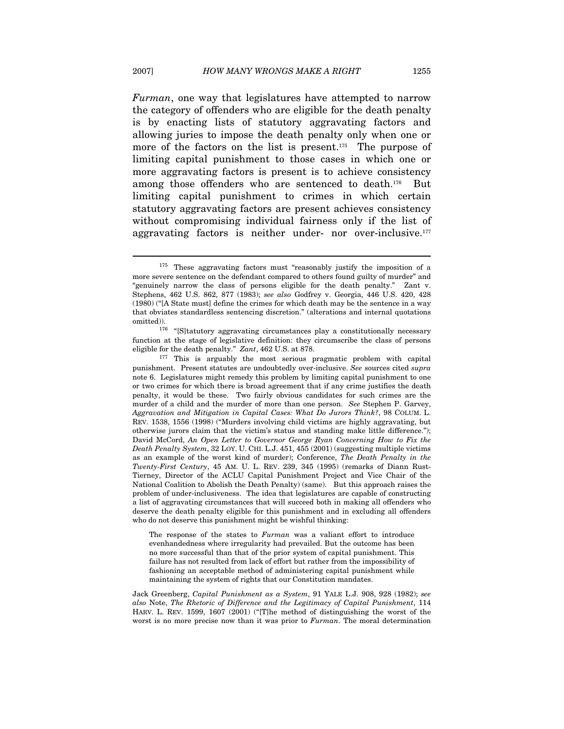Furman, one way that legislatures have attempted to narrow the category of offenders who are eligible for the death penalty is by enacting lists of statutory aggravating factors and allowing juries to impose the death penalty only when one or more of the factors on the list is present.<sup>175</sup> The purpose of limiting capital punishment to those cases in which one or more aggravating factors is present is to achieve consistency among those offenders who are sentenced to death.176 But limiting capital punishment to crimes in which certain statutory aggravating factors are present achieves consistency without compromising individual fairness only if the list of aggravating factors is neither under- nor over-inclusive.<sup>177</sup>

The response of the states to Furman was a valiant effort to introduce evenhandedness where irregularity had prevailed. But the outcome has been no more successful than that of the prior system of capital punishment. This failure has not resulted from lack of effort but rather from the impossibility of fashioning an acceptable method of administering capital punishment while maintaining the system of rights that our Constitution mandates.

Jack Greenberg, Capital Punishment as a System, 91 YALE L.J. 908, 928 (1982); see also Note, The Rhetoric of Difference and the Legitimacy of Capital Punishment, 114 HARV. L. REV. 1599, 1607 (2001) ("[T]he method of distinguishing the worst of the worst is no more precise now than it was prior to Furman. The moral determination

<sup>&</sup>lt;sup>175</sup> These aggravating factors must "reasonably justify the imposition of a more severe sentence on the defendant compared to others found guilty of murder" and "genuinely narrow the class of persons eligible for the death penalty." Zant v. Stephens, 462 U.S. 862, 877 (1983); see also Godfrey v. Georgia, 446 U.S. 420, 428 (1980) ("[A State must] define the crimes for which death may be the sentence in a way that obviates standardless sentencing discretion." (alterations and internal quotations omitted)).<br><sup>176</sup> "[S]tatutory aggravating circumstances play a constitutionally necessary

function at the stage of legislative definition: they circumscribe the class of persons eligible for the death penalty."  $Zant$ , 462 U.S. at 878.<br><sup>177</sup> This is arguably the most serious pragmatic problem with capital

punishment. Present statutes are undoubtedly over-inclusive. See sources cited supra note 6. Legislatures might remedy this problem by limiting capital punishment to one or two crimes for which there is broad agreement that if any crime justifies the death penalty, it would be these. Two fairly obvious candidates for such crimes are the murder of a child and the murder of more than one person. See Stephen P. Garvey, Aggravation and Mitigation in Capital Cases: What Do Jurors Think?, 98 COLUM. L. REV. 1538, 1556 (1998) ("Murders involving child victims are highly aggravating, but otherwise jurors claim that the victim's status and standing make little difference."); David McCord, An Open Letter to Governor George Ryan Concerning How to Fix the Death Penalty System, 32 LOY. U. CHI. L.J. 451, 455 (2001) (suggesting multiple victims as an example of the worst kind of murder); Conference, The Death Penalty in the Twenty-First Century, 45 AM. U. L. REV. 239, 345 (1995) (remarks of Diann Rust-Tierney, Director of the ACLU Capital Punishment Project and Vice Chair of the National Coalition to Abolish the Death Penalty) (same). But this approach raises the problem of under-inclusiveness. The idea that legislatures are capable of constructing a list of aggravating circumstances that will succeed both in making all offenders who deserve the death penalty eligible for this punishment and in excluding all offenders who do not deserve this punishment might be wishful thinking: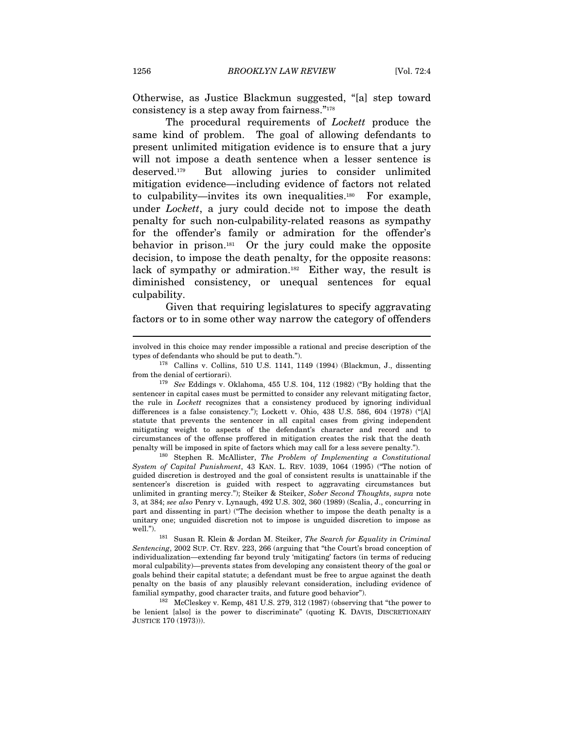Otherwise, as Justice Blackmun suggested, "[a] step toward consistency is a step away from fairness."178

The procedural requirements of *Lockett* produce the same kind of problem. The goal of allowing defendants to present unlimited mitigation evidence is to ensure that a jury will not impose a death sentence when a lesser sentence is deserved.179 But allowing juries to consider unlimited mitigation evidence—including evidence of factors not related to culpability—invites its own inequalities.180 For example, under Lockett, a jury could decide not to impose the death penalty for such non-culpability-related reasons as sympathy for the offender's family or admiration for the offender's behavior in prison.181 Or the jury could make the opposite decision, to impose the death penalty, for the opposite reasons: lack of sympathy or admiration.<sup>182</sup> Either way, the result is diminished consistency, or unequal sentences for equal culpability.

Given that requiring legislatures to specify aggravating factors or to in some other way narrow the category of offenders

System of Capital Punishment, 43 KAN. L. REV. 1039, 1064 (1995) ("The notion of guided discretion is destroyed and the goal of consistent results is unattainable if the sentencer's discretion is guided with respect to aggravating circumstances but unlimited in granting mercy."); Steiker & Steiker, Sober Second Thoughts, supra note 3, at 384; see also Penry v. Lynaugh, 492 U.S. 302, 360 (1989) (Scalia, J., concurring in part and dissenting in part) ("The decision whether to impose the death penalty is a unitary one; unguided discretion not to impose is unguided discretion to impose as

well.").<br><sup>181</sup> Susan R. Klein & Jordan M. Steiker, *The Search for Equality in Criminal* Sentencing, 2002 SUP. CT. REV. 223, 266 (arguing that "the Court's broad conception of individualization—extending far beyond truly 'mitigating' factors (in terms of reducing moral culpability)—prevents states from developing any consistent theory of the goal or goals behind their capital statute; a defendant must be free to argue against the death penalty on the basis of any plausibly relevant consideration, including evidence of familial sympathy, good character traits, and future good behavior").<br><sup>182</sup> McCleskey v. Kemp, 481 U.S. 279, 312 (1987) (observing that "the power to

be lenient [also] is the power to discriminate" (quoting K. DAVIS, DISCRETIONARY JUSTICE 170 (1973))).

involved in this choice may render impossible a rational and precise description of the

types of defendants who should be put to death.").<br><sup>178</sup> Callins v. Collins, 510 U.S. 1141, 1149 (1994) (Blackmun, J., dissenting<br>from the denial of certiorari).

<sup>&</sup>lt;sup>179</sup> See Eddings v. Oklahoma, 455 U.S. 104, 112 (1982) ("By holding that the sentencer in capital cases must be permitted to consider any relevant mitigating factor, the rule in Lockett recognizes that a consistency produced by ignoring individual differences is a false consistency."); Lockett v. Ohio, 438 U.S. 586, 604 (1978) ("[A] statute that prevents the sentencer in all capital cases from giving independent mitigating weight to aspects of the defendant's character and record and to circumstances of the offense proffered in mitigation creates the risk that the death penalty will be imposed in spite of factors which may call for a less severe penalty."). 180 Stephen R. McAllister, The Problem of Implementing a Constitutional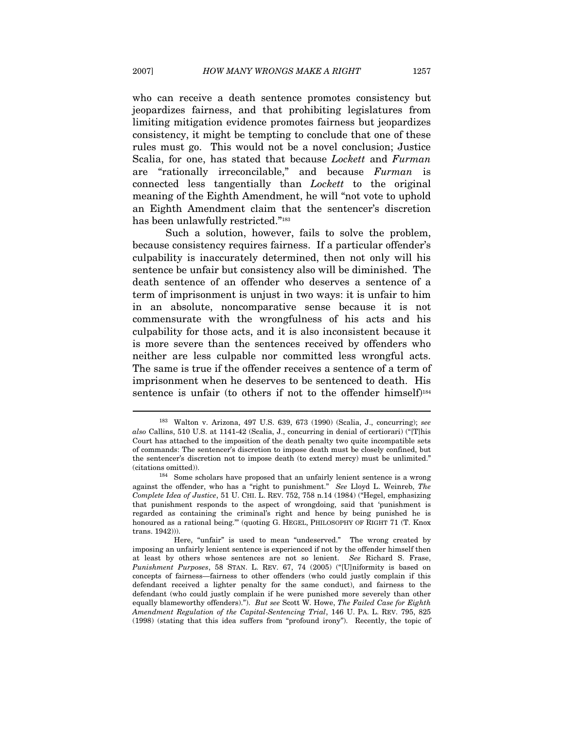who can receive a death sentence promotes consistency but jeopardizes fairness, and that prohibiting legislatures from limiting mitigation evidence promotes fairness but jeopardizes consistency, it might be tempting to conclude that one of these rules must go. This would not be a novel conclusion; Justice Scalia, for one, has stated that because *Lockett* and Furman are "rationally irreconcilable," and because Furman is connected less tangentially than Lockett to the original meaning of the Eighth Amendment, he will "not vote to uphold an Eighth Amendment claim that the sentencer's discretion has been unlawfully restricted."<sup>183</sup>

Such a solution, however, fails to solve the problem, because consistency requires fairness. If a particular offender's culpability is inaccurately determined, then not only will his sentence be unfair but consistency also will be diminished. The death sentence of an offender who deserves a sentence of a term of imprisonment is unjust in two ways: it is unfair to him in an absolute, noncomparative sense because it is not commensurate with the wrongfulness of his acts and his culpability for those acts, and it is also inconsistent because it is more severe than the sentences received by offenders who neither are less culpable nor committed less wrongful acts. The same is true if the offender receives a sentence of a term of imprisonment when he deserves to be sentenced to death. His sentence is unfair (to others if not to the offender himself)<sup>184</sup>

<sup>183</sup> Walton v. Arizona, 497 U.S. 639, 673 (1990) (Scalia, J., concurring); see also Callins, 510 U.S. at 1141-42 (Scalia, J., concurring in denial of certiorari) ("[T]his Court has attached to the imposition of the death penalty two quite incompatible sets of commands: The sentencer's discretion to impose death must be closely confined, but the sentencer's discretion not to impose death (to extend mercy) must be unlimited."

<sup>(</sup>citations omitted)). 184 Some scholars have proposed that an unfairly lenient sentence is a wrong against the offender, who has a "right to punishment." See Lloyd L. Weinreb, The Complete Idea of Justice, 51 U. CHI. L. REV. 752, 758 n.14 (1984) ("Hegel, emphasizing that punishment responds to the aspect of wrongdoing, said that 'punishment is regarded as containing the criminal's right and hence by being punished he is honoured as a rational being.'" (quoting G. HEGEL, PHILOSOPHY OF RIGHT 71 (T. Knox trans. 1942))).

Here, "unfair" is used to mean "undeserved." The wrong created by imposing an unfairly lenient sentence is experienced if not by the offender himself then at least by others whose sentences are not so lenient. See Richard S. Frase, Punishment Purposes, 58 STAN. L. REV. 67, 74 (2005) ("[U]niformity is based on concepts of fairness—fairness to other offenders (who could justly complain if this defendant received a lighter penalty for the same conduct), and fairness to the defendant (who could justly complain if he were punished more severely than other equally blameworthy offenders)."). But see Scott W. Howe, The Failed Case for Eighth Amendment Regulation of the Capital-Sentencing Trial, 146 U. PA. L. REV. 795, 825 (1998) (stating that this idea suffers from "profound irony"). Recently, the topic of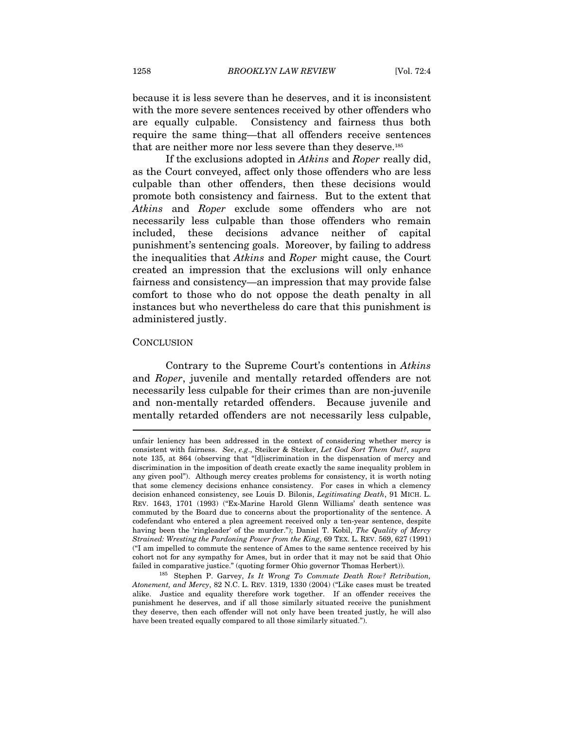because it is less severe than he deserves, and it is inconsistent with the more severe sentences received by other offenders who are equally culpable. Consistency and fairness thus both require the same thing—that all offenders receive sentences that are neither more nor less severe than they deserve.185

If the exclusions adopted in Atkins and Roper really did, as the Court conveyed, affect only those offenders who are less culpable than other offenders, then these decisions would promote both consistency and fairness. But to the extent that Atkins and Roper exclude some offenders who are not necessarily less culpable than those offenders who remain included, these decisions advance neither of capital punishment's sentencing goals. Moreover, by failing to address the inequalities that Atkins and Roper might cause, the Court created an impression that the exclusions will only enhance fairness and consistency—an impression that may provide false comfort to those who do not oppose the death penalty in all instances but who nevertheless do care that this punishment is administered justly.

#### **CONCLUSION**

 $\overline{a}$ 

Contrary to the Supreme Court's contentions in Atkins and Roper, juvenile and mentally retarded offenders are not necessarily less culpable for their crimes than are non-juvenile and non-mentally retarded offenders. Because juvenile and mentally retarded offenders are not necessarily less culpable,

unfair leniency has been addressed in the context of considering whether mercy is consistent with fairness. See, e.g., Steiker & Steiker, Let God Sort Them Out?, supra note 135, at 864 (observing that "[d]iscrimination in the dispensation of mercy and discrimination in the imposition of death create exactly the same inequality problem in any given pool"). Although mercy creates problems for consistency, it is worth noting that some clemency decisions enhance consistency. For cases in which a clemency decision enhanced consistency, see Louis D. Bilonis, Legitimating Death, 91 MICH. L. REV. 1643, 1701 (1993) ("Ex-Marine Harold Glenn Williams' death sentence was commuted by the Board due to concerns about the proportionality of the sentence. A codefendant who entered a plea agreement received only a ten-year sentence, despite having been the 'ringleader' of the murder."); Daniel T. Kobil, The Quality of Mercy Strained: Wresting the Pardoning Power from the King, 69 TEX. L. REV. 569, 627 (1991) ("I am impelled to commute the sentence of Ames to the same sentence received by his cohort not for any sympathy for Ames, but in order that it may not be said that Ohio failed in comparative justice." (quoting former Ohio governor Thomas Herbert)).<br><sup>185</sup> Stephen P. Garvey, *Is It Wrong To Commute Death Row? Retribution*,

Atonement, and Mercy, 82 N.C. L. REV. 1319, 1330 (2004) ("Like cases must be treated alike. Justice and equality therefore work together. If an offender receives the punishment he deserves, and if all those similarly situated receive the punishment they deserve, then each offender will not only have been treated justly, he will also have been treated equally compared to all those similarly situated.").